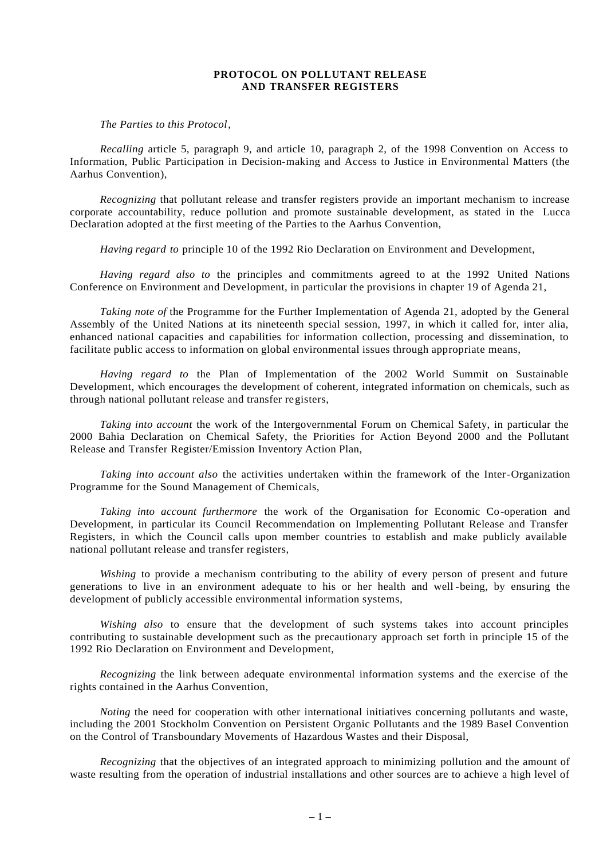## **PROTOCOL ON POLLUTANT RELEASE AND TRANSFER REGISTERS**

*The Parties to this Protocol*,

*Recalling* article 5, paragraph 9, and article 10, paragraph 2, of the 1998 Convention on Access to Information, Public Participation in Decision-making and Access to Justice in Environmental Matters (the Aarhus Convention),

*Recognizing* that pollutant release and transfer registers provide an important mechanism to increase corporate accountability, reduce pollution and promote sustainable development, as stated in the Lucca Declaration adopted at the first meeting of the Parties to the Aarhus Convention,

*Having regard to* principle 10 of the 1992 Rio Declaration on Environment and Development,

*Having regard also to* the principles and commitments agreed to at the 1992 United Nations Conference on Environment and Development, in particular the provisions in chapter 19 of Agenda 21,

*Taking note of* the Programme for the Further Implementation of Agenda 21, adopted by the General Assembly of the United Nations at its nineteenth special session, 1997, in which it called for, inter alia, enhanced national capacities and capabilities for information collection, processing and dissemination, to facilitate public access to information on global environmental issues through appropriate means,

*Having regard to* the Plan of Implementation of the 2002 World Summit on Sustainable Development, which encourages the development of coherent, integrated information on chemicals, such as through national pollutant release and transfer registers,

*Taking into account* the work of the Intergovernmental Forum on Chemical Safety, in particular the 2000 Bahia Declaration on Chemical Safety, the Priorities for Action Beyond 2000 and the Pollutant Release and Transfer Register/Emission Inventory Action Plan,

*Taking into account also* the activities undertaken within the framework of the Inter-Organization Programme for the Sound Management of Chemicals,

*Taking into account furthermore* the work of the Organisation for Economic Co-operation and Development, in particular its Council Recommendation on Implementing Pollutant Release and Transfer Registers, in which the Council calls upon member countries to establish and make publicly available national pollutant release and transfer registers,

*Wishing* to provide a mechanism contributing to the ability of every person of present and future generations to live in an environment adequate to his or her health and well -being, by ensuring the development of publicly accessible environmental information systems,

*Wishing also* to ensure that the development of such systems takes into account principles contributing to sustainable development such as the precautionary approach set forth in principle 15 of the 1992 Rio Declaration on Environment and Development,

*Recognizing* the link between adequate environmental information systems and the exercise of the rights contained in the Aarhus Convention,

*Noting* the need for cooperation with other international initiatives concerning pollutants and waste, including the 2001 Stockholm Convention on Persistent Organic Pollutants and the 1989 Basel Convention on the Control of Transboundary Movements of Hazardous Wastes and their Disposal,

*Recognizing* that the objectives of an integrated approach to minimizing pollution and the amount of waste resulting from the operation of industrial installations and other sources are to achieve a high level of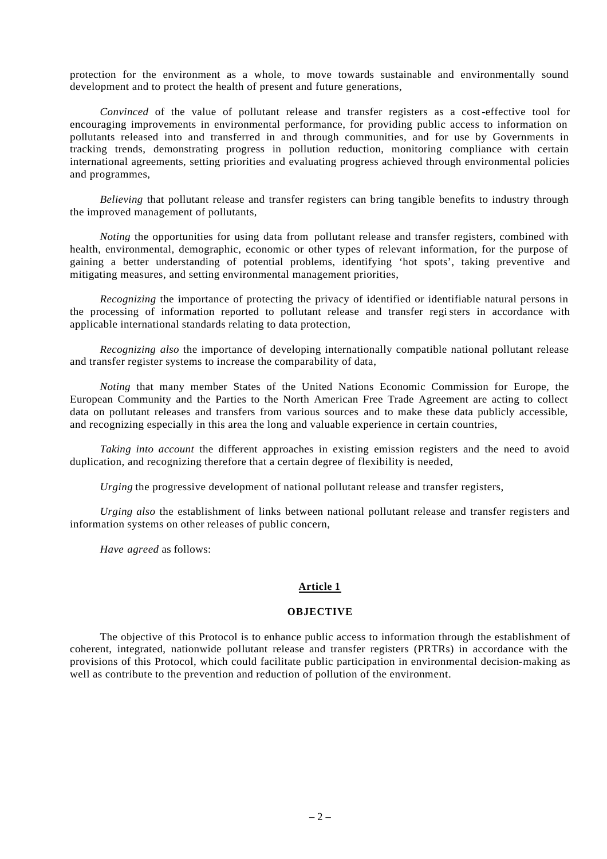protection for the environment as a whole, to move towards sustainable and environmentally sound development and to protect the health of present and future generations,

*Convinced* of the value of pollutant release and transfer registers as a cost-effective tool for encouraging improvements in environmental performance, for providing public access to information on pollutants released into and transferred in and through communities, and for use by Governments in tracking trends, demonstrating progress in pollution reduction, monitoring compliance with certain international agreements, setting priorities and evaluating progress achieved through environmental policies and programmes,

*Believing* that pollutant release and transfer registers can bring tangible benefits to industry through the improved management of pollutants,

*Noting* the opportunities for using data from pollutant release and transfer registers, combined with health, environmental, demographic, economic or other types of relevant information, for the purpose of gaining a better understanding of potential problems, identifying 'hot spots', taking preventive and mitigating measures, and setting environmental management priorities,

*Recognizing* the importance of protecting the privacy of identified or identifiable natural persons in the processing of information reported to pollutant release and transfer registers in accordance with applicable international standards relating to data protection,

*Recognizing also* the importance of developing internationally compatible national pollutant release and transfer register systems to increase the comparability of data,

*Noting* that many member States of the United Nations Economic Commission for Europe, the European Community and the Parties to the North American Free Trade Agreement are acting to collect data on pollutant releases and transfers from various sources and to make these data publicly accessible, and recognizing especially in this area the long and valuable experience in certain countries,

*Taking into account* the different approaches in existing emission registers and the need to avoid duplication, and recognizing therefore that a certain degree of flexibility is needed,

*Urging* the progressive development of national pollutant release and transfer registers,

*Urging also* the establishment of links between national pollutant release and transfer registers and information systems on other releases of public concern,

*Have agreed* as follows:

## **Article 1**

#### **OBJECTIVE**

The objective of this Protocol is to enhance public access to information through the establishment of coherent, integrated, nationwide pollutant release and transfer registers (PRTRs) in accordance with the provisions of this Protocol, which could facilitate public participation in environmental decision-making as well as contribute to the prevention and reduction of pollution of the environment.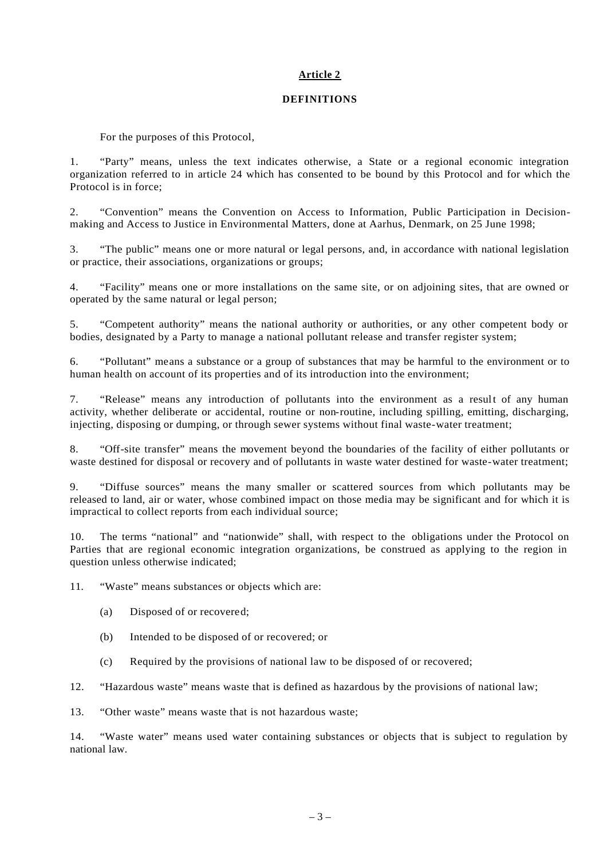# **DEFINITIONS**

For the purposes of this Protocol,

1. "Party" means, unless the text indicates otherwise, a State or a regional economic integration organization referred to in article 24 which has consented to be bound by this Protocol and for which the Protocol is in force;

2. "Convention" means the Convention on Access to Information, Public Participation in Decisionmaking and Access to Justice in Environmental Matters, done at Aarhus, Denmark, on 25 June 1998;

3. "The public" means one or more natural or legal persons, and, in accordance with national legislation or practice, their associations, organizations or groups;

4. "Facility" means one or more installations on the same site, or on adjoining sites, that are owned or operated by the same natural or legal person;

5. "Competent authority" means the national authority or authorities, or any other competent body or bodies, designated by a Party to manage a national pollutant release and transfer register system;

6. "Pollutant" means a substance or a group of substances that may be harmful to the environment or to human health on account of its properties and of its introduction into the environment;

7. "Release" means any introduction of pollutants into the environment as a result of any human activity, whether deliberate or accidental, routine or non-routine, including spilling, emitting, discharging, injecting, disposing or dumping, or through sewer systems without final waste-water treatment;

8. "Off-site transfer" means the movement beyond the boundaries of the facility of either pollutants or waste destined for disposal or recovery and of pollutants in waste water destined for waste-water treatment;

9. "Diffuse sources" means the many smaller or scattered sources from which pollutants may be released to land, air or water, whose combined impact on those media may be significant and for which it is impractical to collect reports from each individual source;

10. The terms "national" and "nationwide" shall, with respect to the obligations under the Protocol on Parties that are regional economic integration organizations, be construed as applying to the region in question unless otherwise indicated;

11. "Waste" means substances or objects which are:

- (a) Disposed of or recovered;
- (b) Intended to be disposed of or recovered; or
- (c) Required by the provisions of national law to be disposed of or recovered;
- 12. "Hazardous waste" means waste that is defined as hazardous by the provisions of national law;
- 13. "Other waste" means waste that is not hazardous waste;

14. "Waste water" means used water containing substances or objects that is subject to regulation by national law.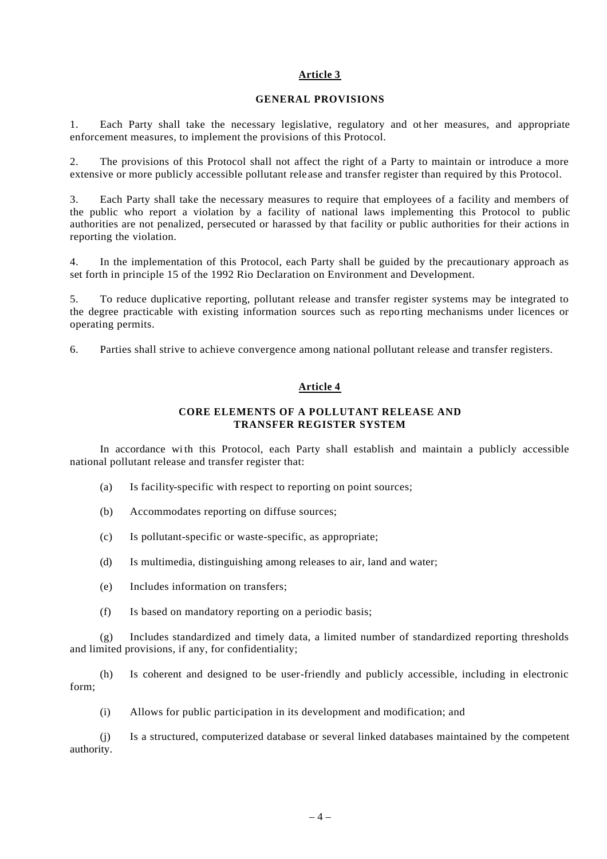## **GENERAL PROVISIONS**

1. Each Party shall take the necessary legislative, regulatory and ot her measures, and appropriate enforcement measures, to implement the provisions of this Protocol.

2. The provisions of this Protocol shall not affect the right of a Party to maintain or introduce a more extensive or more publicly accessible pollutant release and transfer register than required by this Protocol.

3. Each Party shall take the necessary measures to require that employees of a facility and members of the public who report a violation by a facility of national laws implementing this Protocol to public authorities are not penalized, persecuted or harassed by that facility or public authorities for their actions in reporting the violation.

4. In the implementation of this Protocol, each Party shall be guided by the precautionary approach as set forth in principle 15 of the 1992 Rio Declaration on Environment and Development.

5. To reduce duplicative reporting, pollutant release and transfer register systems may be integrated to the degree practicable with existing information sources such as repo rting mechanisms under licences or operating permits.

6. Parties shall strive to achieve convergence among national pollutant release and transfer registers.

## **Article 4**

## **CORE ELEMENTS OF A POLLUTANT RELEASE AND TRANSFER REGISTER SYSTEM**

In accordance wi th this Protocol, each Party shall establish and maintain a publicly accessible national pollutant release and transfer register that:

- (a) Is facility-specific with respect to reporting on point sources;
- (b) Accommodates reporting on diffuse sources;
- (c) Is pollutant-specific or waste-specific, as appropriate;
- (d) Is multimedia, distinguishing among releases to air, land and water;
- (e) Includes information on transfers;
- (f) Is based on mandatory reporting on a periodic basis;

(g) Includes standardized and timely data, a limited number of standardized reporting thresholds and limited provisions, if any, for confidentiality;

(h) Is coherent and designed to be user-friendly and publicly accessible, including in electronic form;

(i) Allows for public participation in its development and modification; and

(j) Is a structured, computerized database or several linked databases maintained by the competent authority.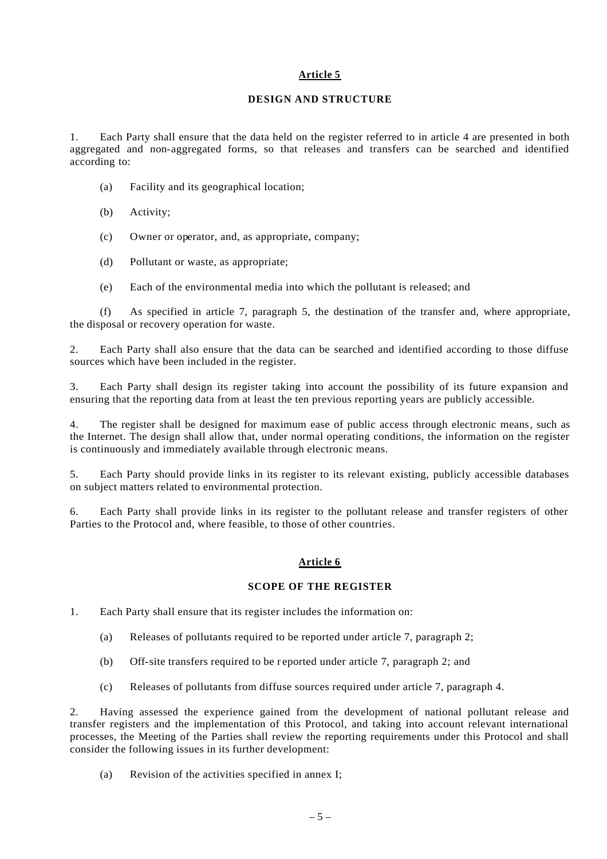## **DESIGN AND STRUCTURE**

1. Each Party shall ensure that the data held on the register referred to in article 4 are presented in both aggregated and non-aggregated forms, so that releases and transfers can be searched and identified according to:

- (a) Facility and its geographical location;
- (b) Activity;
- (c) Owner or operator, and, as appropriate, company;
- (d) Pollutant or waste, as appropriate;
- (e) Each of the environmental media into which the pollutant is released; and

(f) As specified in article 7, paragraph 5, the destination of the transfer and, where appropriate, the disposal or recovery operation for waste.

2. Each Party shall also ensure that the data can be searched and identified according to those diffuse sources which have been included in the register.

3. Each Party shall design its register taking into account the possibility of its future expansion and ensuring that the reporting data from at least the ten previous reporting years are publicly accessible.

4. The register shall be designed for maximum ease of public access through electronic means, such as the Internet. The design shall allow that, under normal operating conditions, the information on the register is continuously and immediately available through electronic means.

5. Each Party should provide links in its register to its relevant existing, publicly accessible databases on subject matters related to environmental protection.

6. Each Party shall provide links in its register to the pollutant release and transfer registers of other Parties to the Protocol and, where feasible, to those of other countries.

## **Article 6**

## **SCOPE OF THE REGISTER**

1. Each Party shall ensure that its register includes the information on:

- (a) Releases of pollutants required to be reported under article 7, paragraph 2;
- (b) Off-site transfers required to be r eported under article 7, paragraph 2; and
- (c) Releases of pollutants from diffuse sources required under article 7, paragraph 4.

2. Having assessed the experience gained from the development of national pollutant release and transfer registers and the implementation of this Protocol, and taking into account relevant international processes, the Meeting of the Parties shall review the reporting requirements under this Protocol and shall consider the following issues in its further development:

(a) Revision of the activities specified in annex I;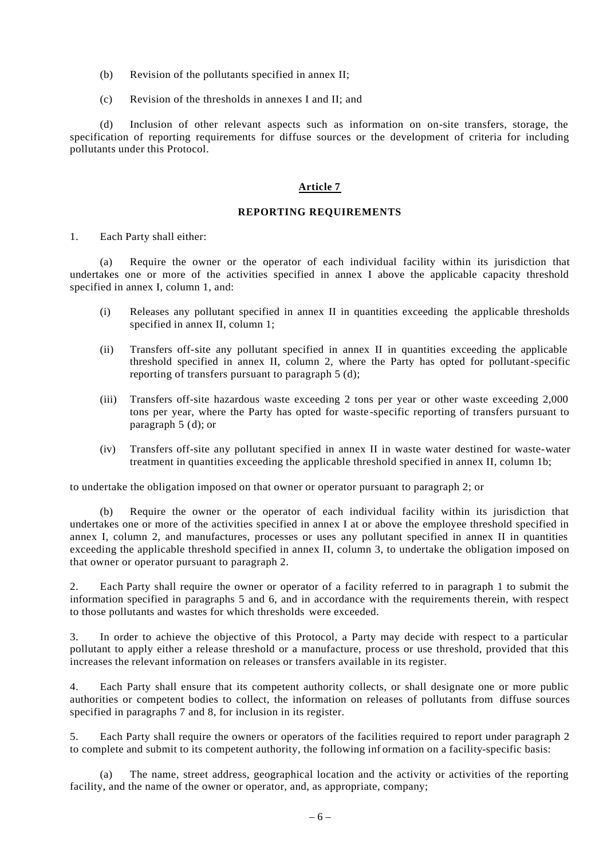- (b) Revision of the pollutants specified in annex II;
- (c) Revision of the thresholds in annexes I and II; and

(d) Inclusion of other relevant aspects such as information on on-site transfers, storage, the specification of reporting requirements for diffuse sources or the development of criteria for including pollutants under this Protocol.

## **Article 7**

## **REPORTING REQUIREMENTS**

1. Each Party shall either:

(a) Require the owner or the operator of each individual facility within its jurisdiction that undertakes one or more of the activities specified in annex I above the applicable capacity threshold specified in annex I, column 1, and:

- (i) Releases any pollutant specified in annex II in quantities exceeding the applicable thresholds specified in annex II, column 1;
- (ii) Transfers off-site any pollutant specified in annex II in quantities exceeding the applicable threshold specified in annex II, column 2, where the Party has opted for pollutant-specific reporting of transfers pursuant to paragraph 5 (d);
- (iii) Transfers off-site hazardous waste exceeding 2 tons per year or other waste exceeding 2,000 tons per year, where the Party has opted for waste -specific reporting of transfers pursuant to paragraph 5 (d); or
- (iv) Transfers off-site any pollutant specified in annex II in waste water destined for waste-water treatment in quantities exceeding the applicable threshold specified in annex II, column 1b;

to undertake the obligation imposed on that owner or operator pursuant to paragraph 2; or

(b) Require the owner or the operator of each individual facility within its jurisdiction that undertakes one or more of the activities specified in annex I at or above the employee threshold specified in annex I, column 2, and manufactures, processes or uses any pollutant specified in annex II in quantities exceeding the applicable threshold specified in annex II, column 3, to undertake the obligation imposed on that owner or operator pursuant to paragraph 2.

2. Each Party shall require the owner or operator of a facility referred to in paragraph 1 to submit the information specified in paragraphs 5 and 6, and in accordance with the requirements therein, with respect to those pollutants and wastes for which thresholds were exceeded.

3. In order to achieve the objective of this Protocol, a Party may decide with respect to a particular pollutant to apply either a release threshold or a manufacture, process or use threshold, provided that this increases the relevant information on releases or transfers available in its register.

4. Each Party shall ensure that its competent authority collects, or shall designate one or more public authorities or competent bodies to collect, the information on releases of pollutants from diffuse sources specified in paragraphs 7 and 8, for inclusion in its register.

5. Each Party shall require the owners or operators of the facilities required to report under paragraph 2 to complete and submit to its competent authority, the following inf ormation on a facility-specific basis:

(a) The name, street address, geographical location and the activity or activities of the reporting facility, and the name of the owner or operator, and, as appropriate, company;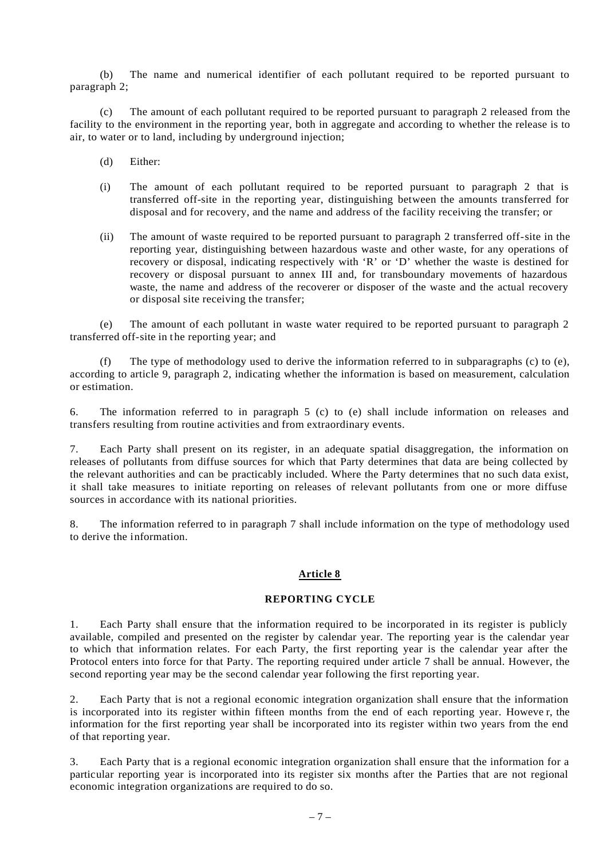(b) The name and numerical identifier of each pollutant required to be reported pursuant to paragraph 2;

(c) The amount of each pollutant required to be reported pursuant to paragraph 2 released from the facility to the environment in the reporting year, both in aggregate and according to whether the release is to air, to water or to land, including by underground injection;

- (d) Either:
- (i) The amount of each pollutant required to be reported pursuant to paragraph 2 that is transferred off-site in the reporting year, distinguishing between the amounts transferred for disposal and for recovery, and the name and address of the facility receiving the transfer; or
- (ii) The amount of waste required to be reported pursuant to paragraph 2 transferred off-site in the reporting year, distinguishing between hazardous waste and other waste, for any operations of recovery or disposal, indicating respectively with 'R' or 'D' whether the waste is destined for recovery or disposal pursuant to annex III and, for transboundary movements of hazardous waste, the name and address of the recoverer or disposer of the waste and the actual recovery or disposal site receiving the transfer;

(e) The amount of each pollutant in waste water required to be reported pursuant to paragraph 2 transferred off-site in the reporting year; and

(f) The type of methodology used to derive the information referred to in subparagraphs (c) to (e), according to article 9, paragraph 2, indicating whether the information is based on measurement, calculation or estimation.

6. The information referred to in paragraph 5 (c) to (e) shall include information on releases and transfers resulting from routine activities and from extraordinary events.

7. Each Party shall present on its register, in an adequate spatial disaggregation, the information on releases of pollutants from diffuse sources for which that Party determines that data are being collected by the relevant authorities and can be practicably included. Where the Party determines that no such data exist, it shall take measures to initiate reporting on releases of relevant pollutants from one or more diffuse sources in accordance with its national priorities.

8. The information referred to in paragraph 7 shall include information on the type of methodology used to derive the information.

## **Article 8**

## **REPORTING CYCLE**

1. Each Party shall ensure that the information required to be incorporated in its register is publicly available, compiled and presented on the register by calendar year. The reporting year is the calendar year to which that information relates. For each Party, the first reporting year is the calendar year after the Protocol enters into force for that Party. The reporting required under article 7 shall be annual. However, the second reporting year may be the second calendar year following the first reporting year.

2. Each Party that is not a regional economic integration organization shall ensure that the information is incorporated into its register within fifteen months from the end of each reporting year. Howeve r, the information for the first reporting year shall be incorporated into its register within two years from the end of that reporting year.

3. Each Party that is a regional economic integration organization shall ensure that the information for a particular reporting year is incorporated into its register six months after the Parties that are not regional economic integration organizations are required to do so.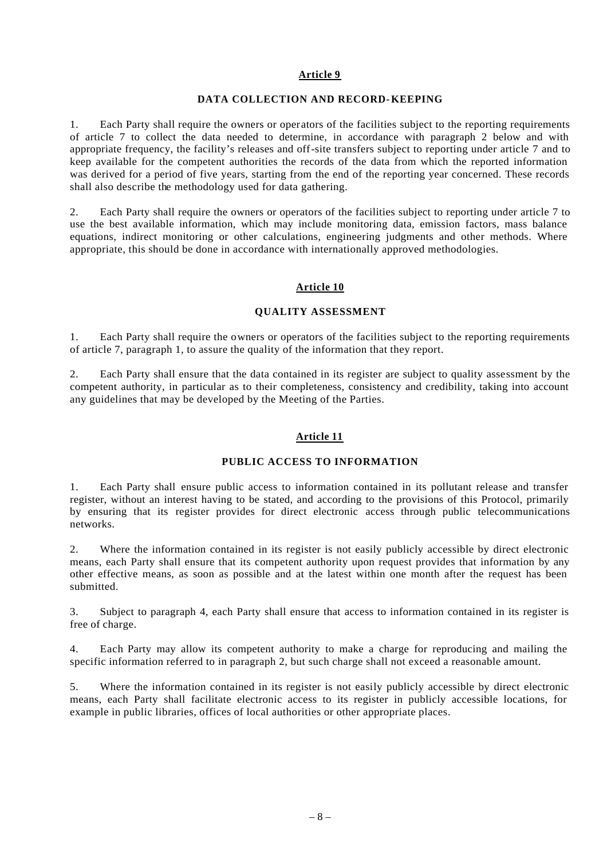## **DATA COLLECTION AND RECORD-KEEPING**

1. Each Party shall require the owners or operators of the facilities subject to the reporting requirements of article 7 to collect the data needed to determine, in accordance with paragraph 2 below and with appropriate frequency, the facility's releases and off-site transfers subject to reporting under article 7 and to keep available for the competent authorities the records of the data from which the reported information was derived for a period of five years, starting from the end of the reporting year concerned. These records shall also describe the methodology used for data gathering.

2. Each Party shall require the owners or operators of the facilities subject to reporting under article 7 to use the best available information, which may include monitoring data, emission factors, mass balance equations, indirect monitoring or other calculations, engineering judgments and other methods. Where appropriate, this should be done in accordance with internationally approved methodologies.

## **Article 10**

#### **QUALITY ASSESSMENT**

1. Each Party shall require the owners or operators of the facilities subject to the reporting requirements of article 7, paragraph 1, to assure the quality of the information that they report.

2. Each Party shall ensure that the data contained in its register are subject to quality assessment by the competent authority, in particular as to their completeness, consistency and credibility, taking into account any guidelines that may be developed by the Meeting of the Parties.

## **Article 11**

## **PUBLIC ACCESS TO INFORMATION**

1. Each Party shall ensure public access to information contained in its pollutant release and transfer register, without an interest having to be stated, and according to the provisions of this Protocol, primarily by ensuring that its register provides for direct electronic access through public telecommunications networks.

2. Where the information contained in its register is not easily publicly accessible by direct electronic means, each Party shall ensure that its competent authority upon request provides that information by any other effective means, as soon as possible and at the latest within one month after the request has been submitted.

3. Subject to paragraph 4, each Party shall ensure that access to information contained in its register is free of charge.

4. Each Party may allow its competent authority to make a charge for reproducing and mailing the specific information referred to in paragraph 2, but such charge shall not exceed a reasonable amount.

5. Where the information contained in its register is not easily publicly accessible by direct electronic means, each Party shall facilitate electronic access to its register in publicly accessible locations, for example in public libraries, offices of local authorities or other appropriate places.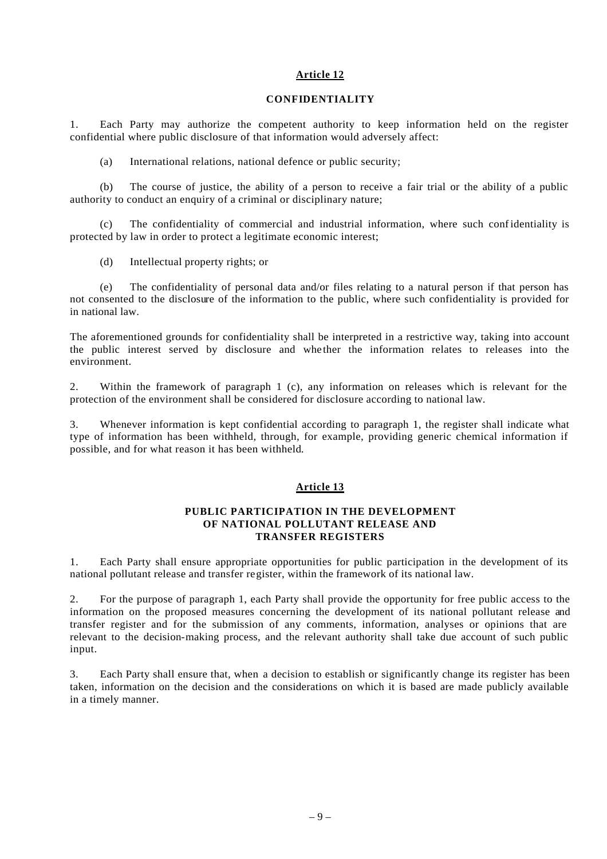## **CONFIDENTIALITY**

1. Each Party may authorize the competent authority to keep information held on the register confidential where public disclosure of that information would adversely affect:

(a) International relations, national defence or public security;

(b) The course of justice, the ability of a person to receive a fair trial or the ability of a public authority to conduct an enquiry of a criminal or disciplinary nature;

(c) The confidentiality of commercial and industrial information, where such confidentiality is protected by law in order to protect a legitimate economic interest;

(d) Intellectual property rights; or

(e) The confidentiality of personal data and/or files relating to a natural person if that person has not consented to the disclosure of the information to the public, where such confidentiality is provided for in national law.

The aforementioned grounds for confidentiality shall be interpreted in a restrictive way, taking into account the public interest served by disclosure and whe ther the information relates to releases into the environment.

2. Within the framework of paragraph 1 (c), any information on releases which is relevant for the protection of the environment shall be considered for disclosure according to national law.

3. Whenever information is kept confidential according to paragraph 1, the register shall indicate what type of information has been withheld, through, for example, providing generic chemical information if possible, and for what reason it has been withheld.

## **Article 13**

## **PUBLIC PARTICIPATION IN THE DEVELOPMENT OF NATIONAL POLLUTANT RELEASE AND TRANSFER REGISTERS**

1. Each Party shall ensure appropriate opportunities for public participation in the development of its national pollutant release and transfer register, within the framework of its national law.

2. For the purpose of paragraph 1, each Party shall provide the opportunity for free public access to the information on the proposed measures concerning the development of its national pollutant release and transfer register and for the submission of any comments, information, analyses or opinions that are relevant to the decision-making process, and the relevant authority shall take due account of such public input.

3. Each Party shall ensure that, when a decision to establish or significantly change its register has been taken, information on the decision and the considerations on which it is based are made publicly available in a timely manner.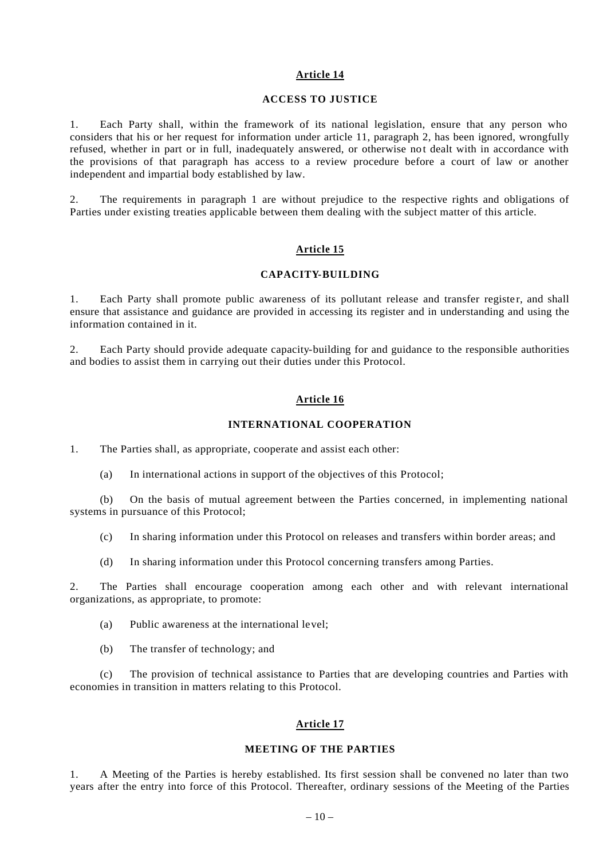#### **ACCESS TO JUSTICE**

1. Each Party shall, within the framework of its national legislation, ensure that any person who considers that his or her request for information under article 11, paragraph 2, has been ignored, wrongfully refused, whether in part or in full, inadequately answered, or otherwise no t dealt with in accordance with the provisions of that paragraph has access to a review procedure before a court of law or another independent and impartial body established by law.

2. The requirements in paragraph 1 are without prejudice to the respective rights and obligations of Parties under existing treaties applicable between them dealing with the subject matter of this article.

## **Article 15**

#### **CAPACITY-BUILDING**

1. Each Party shall promote public awareness of its pollutant release and transfer register, and shall ensure that assistance and guidance are provided in accessing its register and in understanding and using the information contained in it.

2. Each Party should provide adequate capacity-building for and guidance to the responsible authorities and bodies to assist them in carrying out their duties under this Protocol.

#### **Article 16**

## **INTERNATIONAL COOPERATION**

1. The Parties shall, as appropriate, cooperate and assist each other:

(a) In international actions in support of the objectives of this Protocol;

(b) On the basis of mutual agreement between the Parties concerned, in implementing national systems in pursuance of this Protocol;

- (c) In sharing information under this Protocol on releases and transfers within border areas; and
- (d) In sharing information under this Protocol concerning transfers among Parties.

2. The Parties shall encourage cooperation among each other and with relevant international organizations, as appropriate, to promote:

- (a) Public awareness at the international level;
- (b) The transfer of technology; and

(c) The provision of technical assistance to Parties that are developing countries and Parties with economies in transition in matters relating to this Protocol.

#### **Article 17**

#### **MEETING OF THE PARTIES**

1. A Meeting of the Parties is hereby established. Its first session shall be convened no later than two years after the entry into force of this Protocol. Thereafter, ordinary sessions of the Meeting of the Parties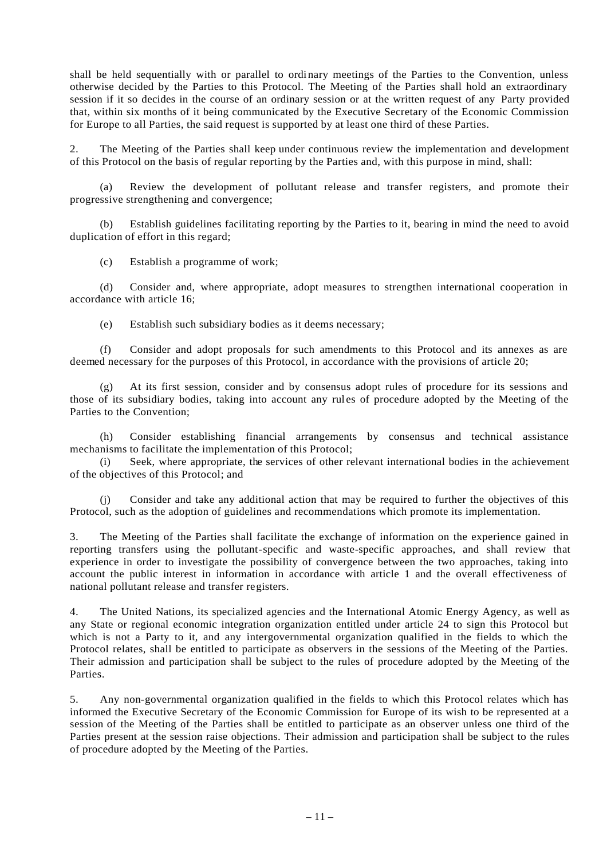shall be held sequentially with or parallel to ordinary meetings of the Parties to the Convention, unless otherwise decided by the Parties to this Protocol. The Meeting of the Parties shall hold an extraordinary session if it so decides in the course of an ordinary session or at the written request of any Party provided that, within six months of it being communicated by the Executive Secretary of the Economic Commission for Europe to all Parties, the said request is supported by at least one third of these Parties.

2. The Meeting of the Parties shall keep under continuous review the implementation and development of this Protocol on the basis of regular reporting by the Parties and, with this purpose in mind, shall:

(a) Review the development of pollutant release and transfer registers, and promote their progressive strengthening and convergence;

(b) Establish guidelines facilitating reporting by the Parties to it, bearing in mind the need to avoid duplication of effort in this regard;

(c) Establish a programme of work;

(d) Consider and, where appropriate, adopt measures to strengthen international cooperation in accordance with article 16;

(e) Establish such subsidiary bodies as it deems necessary;

(f) Consider and adopt proposals for such amendments to this Protocol and its annexes as are deemed necessary for the purposes of this Protocol, in accordance with the provisions of article 20;

(g) At its first session, consider and by consensus adopt rules of procedure for its sessions and those of its subsidiary bodies, taking into account any rul es of procedure adopted by the Meeting of the Parties to the Convention;

(h) Consider establishing financial arrangements by consensus and technical assistance mechanisms to facilitate the implementation of this Protocol;

(i) Seek, where appropriate, the services of other relevant international bodies in the achievement of the objectives of this Protocol; and

Consider and take any additional action that may be required to further the objectives of this Protocol, such as the adoption of guidelines and recommendations which promote its implementation.

3. The Meeting of the Parties shall facilitate the exchange of information on the experience gained in reporting transfers using the pollutant-specific and waste-specific approaches, and shall review that experience in order to investigate the possibility of convergence between the two approaches, taking into account the public interest in information in accordance with article 1 and the overall effectiveness of national pollutant release and transfer registers.

4. The United Nations, its specialized agencies and the International Atomic Energy Agency, as well as any State or regional economic integration organization entitled under article 24 to sign this Protocol but which is not a Party to it, and any intergovernmental organization qualified in the fields to which the Protocol relates, shall be entitled to participate as observers in the sessions of the Meeting of the Parties. Their admission and participation shall be subject to the rules of procedure adopted by the Meeting of the Parties.

5. Any non-governmental organization qualified in the fields to which this Protocol relates which has informed the Executive Secretary of the Economic Commission for Europe of its wish to be represented at a session of the Meeting of the Parties shall be entitled to participate as an observer unless one third of the Parties present at the session raise objections. Their admission and participation shall be subject to the rules of procedure adopted by the Meeting of the Parties.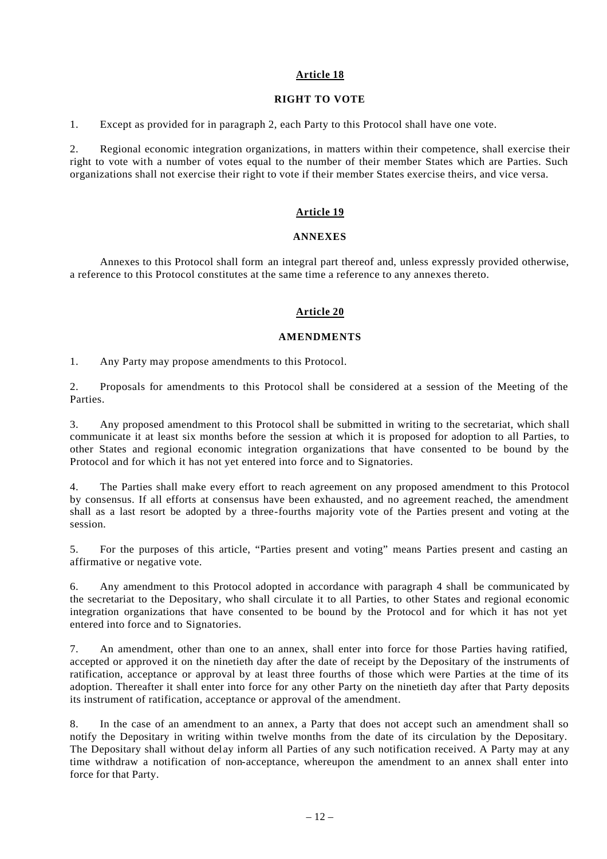## **RIGHT TO VOTE**

1. Except as provided for in paragraph 2, each Party to this Protocol shall have one vote.

2. Regional economic integration organizations, in matters within their competence, shall exercise their right to vote with a number of votes equal to the number of their member States which are Parties. Such organizations shall not exercise their right to vote if their member States exercise theirs, and vice versa.

# **Article 19**

## **ANNEXES**

Annexes to this Protocol shall form an integral part thereof and, unless expressly provided otherwise, a reference to this Protocol constitutes at the same time a reference to any annexes thereto.

## **Article 20**

## **AMENDMENTS**

1. Any Party may propose amendments to this Protocol.

2. Proposals for amendments to this Protocol shall be considered at a session of the Meeting of the Parties.

3. Any proposed amendment to this Protocol shall be submitted in writing to the secretariat, which shall communicate it at least six months before the session at which it is proposed for adoption to all Parties, to other States and regional economic integration organizations that have consented to be bound by the Protocol and for which it has not yet entered into force and to Signatories.

4. The Parties shall make every effort to reach agreement on any proposed amendment to this Protocol by consensus. If all efforts at consensus have been exhausted, and no agreement reached, the amendment shall as a last resort be adopted by a three-fourths majority vote of the Parties present and voting at the session.

5. For the purposes of this article, "Parties present and voting" means Parties present and casting an affirmative or negative vote.

6. Any amendment to this Protocol adopted in accordance with paragraph 4 shall be communicated by the secretariat to the Depositary, who shall circulate it to all Parties, to other States and regional economic integration organizations that have consented to be bound by the Protocol and for which it has not yet entered into force and to Signatories.

7. An amendment, other than one to an annex, shall enter into force for those Parties having ratified, accepted or approved it on the ninetieth day after the date of receipt by the Depositary of the instruments of ratification, acceptance or approval by at least three fourths of those which were Parties at the time of its adoption. Thereafter it shall enter into force for any other Party on the ninetieth day after that Party deposits its instrument of ratification, acceptance or approval of the amendment.

8. In the case of an amendment to an annex, a Party that does not accept such an amendment shall so notify the Depositary in writing within twelve months from the date of its circulation by the Depositary. The Depositary shall without delay inform all Parties of any such notification received. A Party may at any time withdraw a notification of non-acceptance, whereupon the amendment to an annex shall enter into force for that Party.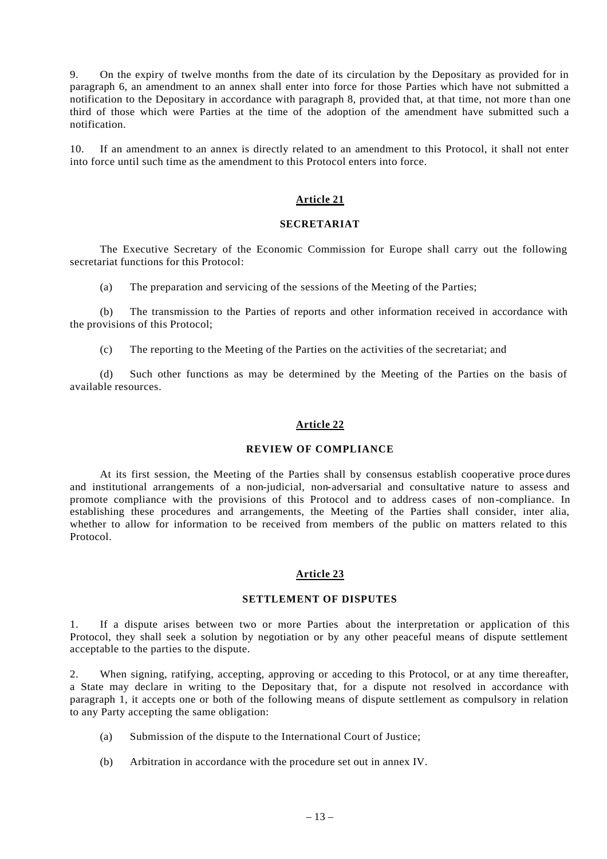9. On the expiry of twelve months from the date of its circulation by the Depositary as provided for in paragraph 6, an amendment to an annex shall enter into force for those Parties which have not submitted a notification to the Depositary in accordance with paragraph 8, provided that, at that time, not more than one third of those which were Parties at the time of the adoption of the amendment have submitted such a notification.

10. If an amendment to an annex is directly related to an amendment to this Protocol, it shall not enter into force until such time as the amendment to this Protocol enters into force.

## **Article 21**

## **SECRETARIAT**

The Executive Secretary of the Economic Commission for Europe shall carry out the following secretariat functions for this Protocol:

(a) The preparation and servicing of the sessions of the Meeting of the Parties;

(b) The transmission to the Parties of reports and other information received in accordance with the provisions of this Protocol;

(c) The reporting to the Meeting of the Parties on the activities of the secretariat; and

(d) Such other functions as may be determined by the Meeting of the Parties on the basis of available resources.

#### **Article 22**

#### **REVIEW OF COMPLIANCE**

At its first session, the Meeting of the Parties shall by consensus establish cooperative proce dures and institutional arrangements of a non-judicial, non-adversarial and consultative nature to assess and promote compliance with the provisions of this Protocol and to address cases of non-compliance. In establishing these procedures and arrangements, the Meeting of the Parties shall consider, inter alia, whether to allow for information to be received from members of the public on matters related to this Protocol.

## **Article 23**

#### **SETTLEMENT OF DISPUTES**

1. If a dispute arises between two or more Parties about the interpretation or application of this Protocol, they shall seek a solution by negotiation or by any other peaceful means of dispute settlement acceptable to the parties to the dispute.

2. When signing, ratifying, accepting, approving or acceding to this Protocol, or at any time thereafter, a State may declare in writing to the Depositary that, for a dispute not resolved in accordance with paragraph 1, it accepts one or both of the following means of dispute settlement as compulsory in relation to any Party accepting the same obligation:

- (a) Submission of the dispute to the International Court of Justice;
- (b) Arbitration in accordance with the procedure set out in annex IV.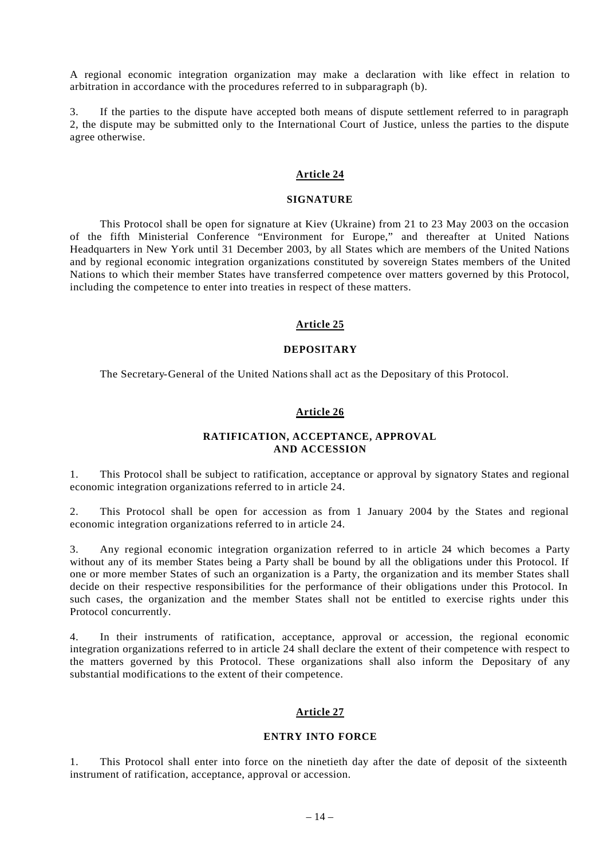A regional economic integration organization may make a declaration with like effect in relation to arbitration in accordance with the procedures referred to in subparagraph (b).

3. If the parties to the dispute have accepted both means of dispute settlement referred to in paragraph 2, the dispute may be submitted only to the International Court of Justice, unless the parties to the dispute agree otherwise.

#### **Article 24**

#### **SIGNATURE**

This Protocol shall be open for signature at Kiev (Ukraine) from 21 to 23 May 2003 on the occasion of the fifth Ministerial Conference "Environment for Europe," and thereafter at United Nations Headquarters in New York until 31 December 2003, by all States which are members of the United Nations and by regional economic integration organizations constituted by sovereign States members of the United Nations to which their member States have transferred competence over matters governed by this Protocol, including the competence to enter into treaties in respect of these matters.

## **Article 25**

#### **DEPOSITARY**

The Secretary-General of the United Nations shall act as the Depositary of this Protocol.

#### **Article 26**

#### **RATIFICATION, ACCEPTANCE, APPROVAL AND ACCESSION**

1. This Protocol shall be subject to ratification, acceptance or approval by signatory States and regional economic integration organizations referred to in article 24.

2. This Protocol shall be open for accession as from 1 January 2004 by the States and regional economic integration organizations referred to in article 24.

3. Any regional economic integration organization referred to in article 24 which becomes a Party without any of its member States being a Party shall be bound by all the obligations under this Protocol. If one or more member States of such an organization is a Party, the organization and its member States shall decide on their respective responsibilities for the performance of their obligations under this Protocol. In such cases, the organization and the member States shall not be entitled to exercise rights under this Protocol concurrently.

4. In their instruments of ratification, acceptance, approval or accession, the regional economic integration organizations referred to in article 24 shall declare the extent of their competence with respect to the matters governed by this Protocol. These organizations shall also inform the Depositary of any substantial modifications to the extent of their competence.

## **Article 27**

#### **ENTRY INTO FORCE**

1. This Protocol shall enter into force on the ninetieth day after the date of deposit of the sixteenth instrument of ratification, acceptance, approval or accession.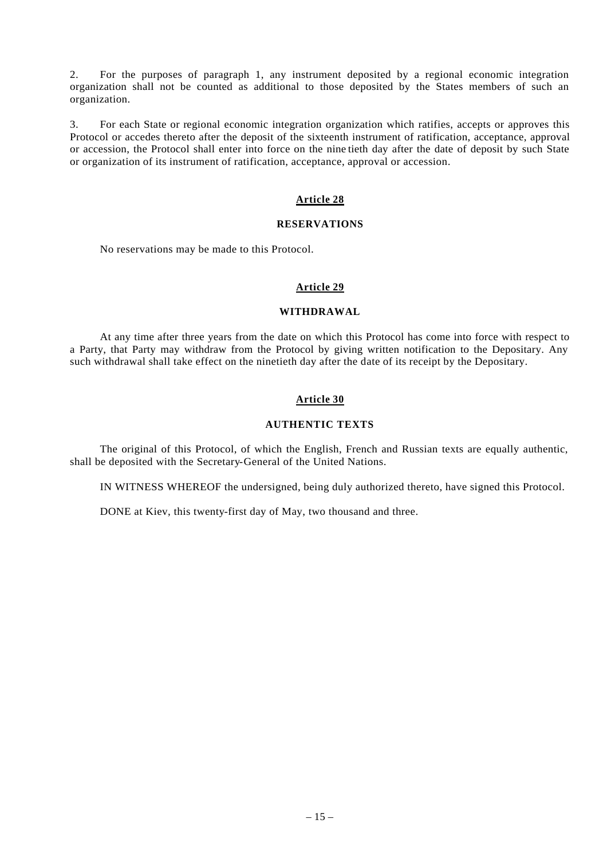2. For the purposes of paragraph 1, any instrument deposited by a regional economic integration organization shall not be counted as additional to those deposited by the States members of such an organization.

3. For each State or regional economic integration organization which ratifies, accepts or approves this Protocol or accedes thereto after the deposit of the sixteenth instrument of ratification, acceptance, approval or accession, the Protocol shall enter into force on the nine tieth day after the date of deposit by such State or organization of its instrument of ratification, acceptance, approval or accession.

## **Article 28**

#### **RESERVATIONS**

No reservations may be made to this Protocol.

## **Article 29**

#### **WITHDRAWAL**

At any time after three years from the date on which this Protocol has come into force with respect to a Party, that Party may withdraw from the Protocol by giving written notification to the Depositary. Any such withdrawal shall take effect on the ninetieth day after the date of its receipt by the Depositary.

## **Article 30**

## **AUTHENTIC TEXTS**

The original of this Protocol, of which the English, French and Russian texts are equally authentic, shall be deposited with the Secretary-General of the United Nations.

IN WITNESS WHEREOF the undersigned, being duly authorized thereto, have signed this Protocol.

DONE at Kiev, this twenty-first day of May, two thousand and three.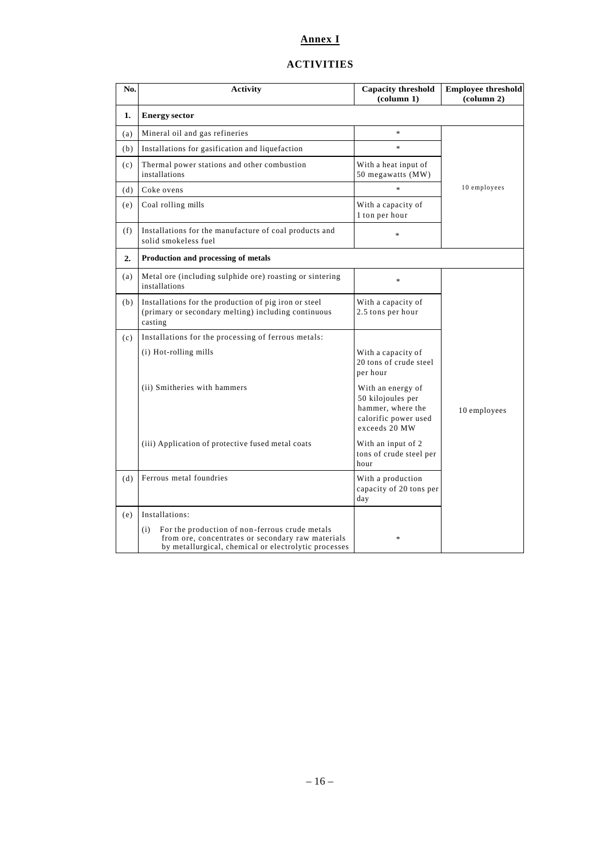# **Annex I**

| No. | <b>Activity</b>                                                                                                                                                    | <b>Capacity threshold</b><br>$\text{(column 1)}$                                                     | <b>Employee threshold</b><br>$\text{(column 2)}$ |  |
|-----|--------------------------------------------------------------------------------------------------------------------------------------------------------------------|------------------------------------------------------------------------------------------------------|--------------------------------------------------|--|
| 1.  | <b>Energy sector</b>                                                                                                                                               |                                                                                                      |                                                  |  |
| (a) | Mineral oil and gas refineries                                                                                                                                     | $\ast$                                                                                               |                                                  |  |
| (b) | Installations for gasification and liquefaction                                                                                                                    | $\ast$                                                                                               |                                                  |  |
| (c) | Thermal power stations and other combustion<br>installations                                                                                                       | With a heat input of<br>50 megawatts (MW)                                                            |                                                  |  |
| (d) | Coke ovens                                                                                                                                                         | $\ast$                                                                                               | 10 employees                                     |  |
| (e) | Coal rolling mills                                                                                                                                                 | With a capacity of<br>1 ton per hour                                                                 |                                                  |  |
| (f) | Installations for the manufacture of coal products and<br>solid smokeless fuel                                                                                     | $\ast$                                                                                               |                                                  |  |
| 2.  | Production and processing of metals                                                                                                                                |                                                                                                      |                                                  |  |
| (a) | Metal ore (including sulphide ore) roasting or sintering<br>installations                                                                                          | $\ast$                                                                                               |                                                  |  |
| (b) | Installations for the production of pig iron or steel<br>(primary or secondary melting) including continuous<br>casting                                            | With a capacity of<br>2.5 tons per hour                                                              |                                                  |  |
| (c) | Installations for the processing of ferrous metals:                                                                                                                |                                                                                                      |                                                  |  |
|     | (i) Hot-rolling mills                                                                                                                                              | With a capacity of<br>20 tons of crude steel<br>per hour                                             |                                                  |  |
|     | (ii) Smitheries with hammers                                                                                                                                       | With an energy of<br>50 kilojoules per<br>hammer, where the<br>calorific power used<br>exceeds 20 MW | 10 employees                                     |  |
|     | (iii) Application of protective fused metal coats                                                                                                                  | With an input of 2<br>tons of crude steel per<br>hour                                                |                                                  |  |
| (d) | Ferrous metal foundries                                                                                                                                            | With a production<br>capacity of 20 tons per<br>day                                                  |                                                  |  |
| (e) | Installations:                                                                                                                                                     |                                                                                                      |                                                  |  |
|     | For the production of non-ferrous crude metals<br>(i)<br>from ore, concentrates or secondary raw materials<br>by metallurgical, chemical or electrolytic processes | $\ast$                                                                                               |                                                  |  |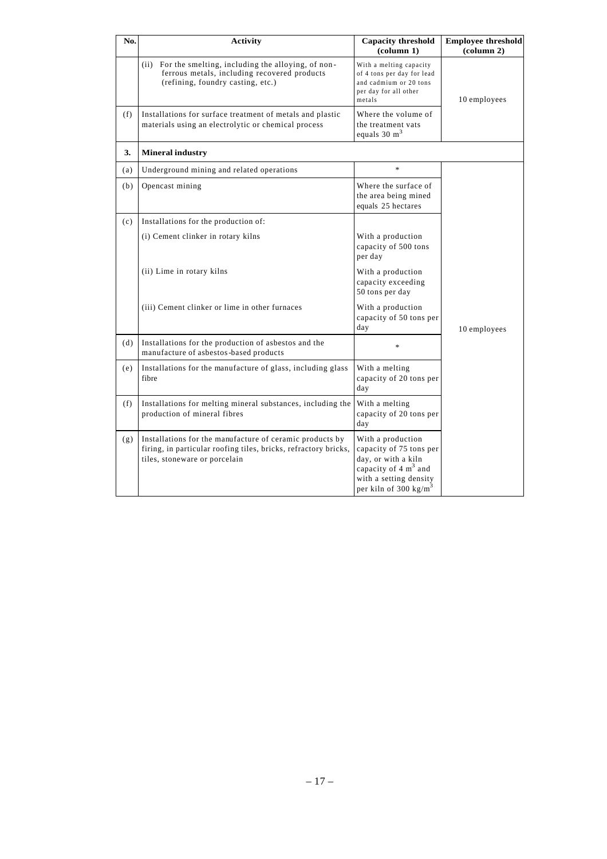| No. | <b>Capacity threshold</b><br><b>Activity</b><br>$\text{(column 1)}$                                                                                          |                                                                                                                                                                       | <b>Employee threshold</b><br>$\text{(column 2)}$ |  |
|-----|--------------------------------------------------------------------------------------------------------------------------------------------------------------|-----------------------------------------------------------------------------------------------------------------------------------------------------------------------|--------------------------------------------------|--|
|     | (ii) For the smelting, including the alloying, of non-<br>ferrous metals, including recovered products<br>(refining, foundry casting, etc.)                  | With a melting capacity<br>of 4 tons per day for lead<br>and cadmium or 20 tons<br>per day for all other<br>metals                                                    |                                                  |  |
| (f) | Installations for surface treatment of metals and plastic<br>materials using an electrolytic or chemical process                                             | Where the volume of<br>the treatment vats<br>equals $30 \text{ m}^3$                                                                                                  |                                                  |  |
| 3.  | <b>Mineral industry</b>                                                                                                                                      |                                                                                                                                                                       |                                                  |  |
| (a) | Underground mining and related operations                                                                                                                    | $\ast$                                                                                                                                                                |                                                  |  |
| (b) | Opencast mining                                                                                                                                              | Where the surface of<br>the area being mined<br>equals 25 hectares                                                                                                    |                                                  |  |
| (c) | Installations for the production of:                                                                                                                         |                                                                                                                                                                       |                                                  |  |
|     | (i) Cement clinker in rotary kilns                                                                                                                           | With a production<br>capacity of 500 tons<br>per day                                                                                                                  |                                                  |  |
|     | (ii) Lime in rotary kilns                                                                                                                                    | With a production<br>capacity exceeding<br>50 tons per day                                                                                                            |                                                  |  |
|     | (iii) Cement clinker or lime in other furnaces                                                                                                               | With a production<br>capacity of 50 tons per<br>day                                                                                                                   | 10 employees                                     |  |
| (d) | Installations for the production of asbestos and the<br>$\ast$<br>manufacture of asbestos-based products                                                     |                                                                                                                                                                       |                                                  |  |
| (e) | Installations for the manufacture of glass, including glass<br>fibre                                                                                         | With a melting<br>capacity of 20 tons per<br>day                                                                                                                      |                                                  |  |
| (f) | Installations for melting mineral substances, including the With a melting<br>production of mineral fibres                                                   | capacity of 20 tons per<br>day                                                                                                                                        |                                                  |  |
| (g) | Installations for the manufacture of ceramic products by<br>firing, in particular roofing tiles, bricks, refractory bricks,<br>tiles, stoneware or porcelain | With a production<br>capacity of 75 tons per<br>day, or with a kiln<br>capacity of $4 \text{ m}^3$ and<br>with a setting density<br>per kiln of 300 kg/m <sup>3</sup> |                                                  |  |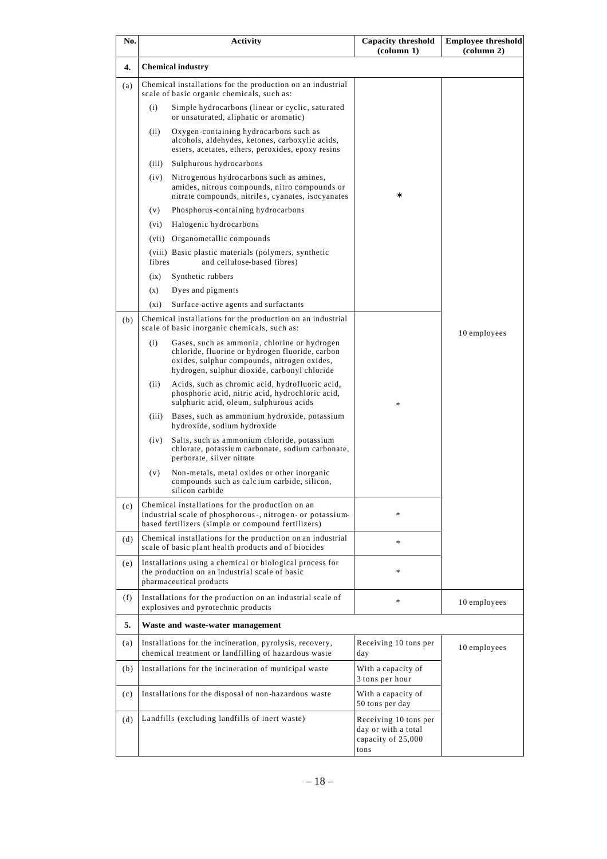| No. | <b>Activity</b>                                                                                                                                                    |                                                                                                                                                                                                | <b>Capacity threshold</b><br>$\text{(column 1)}$                           | <b>Employee threshold</b><br>(column 2) |  |
|-----|--------------------------------------------------------------------------------------------------------------------------------------------------------------------|------------------------------------------------------------------------------------------------------------------------------------------------------------------------------------------------|----------------------------------------------------------------------------|-----------------------------------------|--|
| 4.  |                                                                                                                                                                    | <b>Chemical industry</b>                                                                                                                                                                       |                                                                            |                                         |  |
| (a) | Chemical installations for the production on an industrial<br>scale of basic organic chemicals, such as:                                                           |                                                                                                                                                                                                |                                                                            |                                         |  |
|     | (i)                                                                                                                                                                | Simple hydrocarbons (linear or cyclic, saturated<br>or unsaturated, aliphatic or aromatic)                                                                                                     |                                                                            |                                         |  |
|     | (ii)                                                                                                                                                               | Oxygen-containing hydrocarbons such as<br>alcohols, aldehydes, ketones, carboxylic acids,<br>esters, acetates, ethers, peroxides, epoxy resins                                                 |                                                                            |                                         |  |
|     | (iii)                                                                                                                                                              | Sulphurous hydrocarbons                                                                                                                                                                        |                                                                            |                                         |  |
|     | (iv)                                                                                                                                                               | Nitrogenous hydrocarbons such as amines,<br>amides, nitrous compounds, nitro compounds or<br>nitrate compounds, nitriles, cyanates, isocyanates                                                | $\ast$                                                                     |                                         |  |
|     | (v)                                                                                                                                                                | Phosphorus-containing hydrocarbons                                                                                                                                                             |                                                                            |                                         |  |
|     | (vi)                                                                                                                                                               | Halogenic hydrocarbons                                                                                                                                                                         |                                                                            |                                         |  |
|     | (vii)                                                                                                                                                              | Organometallic compounds                                                                                                                                                                       |                                                                            |                                         |  |
|     | fibres                                                                                                                                                             | (viii) Basic plastic materials (polymers, synthetic<br>and cellulose-based fibres)                                                                                                             |                                                                            |                                         |  |
|     | (ix)                                                                                                                                                               | Synthetic rubbers                                                                                                                                                                              |                                                                            |                                         |  |
|     | (x)                                                                                                                                                                | Dyes and pigments                                                                                                                                                                              |                                                                            |                                         |  |
|     | $(x_i)$                                                                                                                                                            | Surface-active agents and surfactants                                                                                                                                                          |                                                                            |                                         |  |
| (b) | Chemical installations for the production on an industrial<br>scale of basic inorganic chemicals, such as:                                                         |                                                                                                                                                                                                |                                                                            | 10 employees                            |  |
|     | (i)                                                                                                                                                                | Gases, such as ammonia, chlorine or hydrogen<br>chloride, fluorine or hydrogen fluoride, carbon<br>oxides, sulphur compounds, nitrogen oxides,<br>hydrogen, sulphur dioxide, carbonyl chloride |                                                                            |                                         |  |
|     | (ii)                                                                                                                                                               | Acids, such as chromic acid, hydrofluoric acid,<br>phosphoric acid, nitric acid, hydrochloric acid,<br>sulphuric acid, oleum, sulphurous acids                                                 | $\ast$                                                                     |                                         |  |
|     | (iii)                                                                                                                                                              | Bases, such as ammonium hydroxide, potassium<br>hydroxide, sodium hydroxide                                                                                                                    |                                                                            |                                         |  |
|     | (iv)                                                                                                                                                               | Salts, such as ammonium chloride, potassium<br>chlorate, potassium carbonate, sodium carbonate,<br>perborate, silver nitrate                                                                   |                                                                            |                                         |  |
|     | Non-metals, metal oxides or other inorganic<br>(v)<br>compounds such as calcium carbide, silicon,<br>silicon carbide                                               |                                                                                                                                                                                                |                                                                            |                                         |  |
| (c) | Chemical installations for the production on an<br>industrial scale of phosphorous-, nitrogen- or potassium-<br>based fertilizers (simple or compound fertilizers) |                                                                                                                                                                                                | $\ast$                                                                     |                                         |  |
| (d) |                                                                                                                                                                    | Chemical installations for the production on an industrial<br>scale of basic plant health products and of biocides                                                                             | $\ast$                                                                     |                                         |  |
| (e) | Installations using a chemical or biological process for<br>the production on an industrial scale of basic<br>pharmaceutical products                              |                                                                                                                                                                                                | $\ast$                                                                     |                                         |  |
| (f) | Installations for the production on an industrial scale of<br>explosives and pyrotechnic products                                                                  |                                                                                                                                                                                                | $\ast$                                                                     | 10 employees                            |  |
| 5.  | Waste and waste-water management                                                                                                                                   |                                                                                                                                                                                                |                                                                            |                                         |  |
| (a) | Installations for the incineration, pyrolysis, recovery,<br>chemical treatment or landfilling of hazardous waste                                                   |                                                                                                                                                                                                | Receiving 10 tons per<br>day                                               | 10 employees                            |  |
| (b) | Installations for the incineration of municipal waste                                                                                                              |                                                                                                                                                                                                | With a capacity of<br>3 tons per hour                                      |                                         |  |
| (c) | Installations for the disposal of non-hazardous waste                                                                                                              |                                                                                                                                                                                                | With a capacity of<br>50 tons per day                                      |                                         |  |
| (d) | Landfills (excluding landfills of inert waste)                                                                                                                     |                                                                                                                                                                                                | Receiving 10 tons per<br>day or with a total<br>capacity of 25,000<br>tons |                                         |  |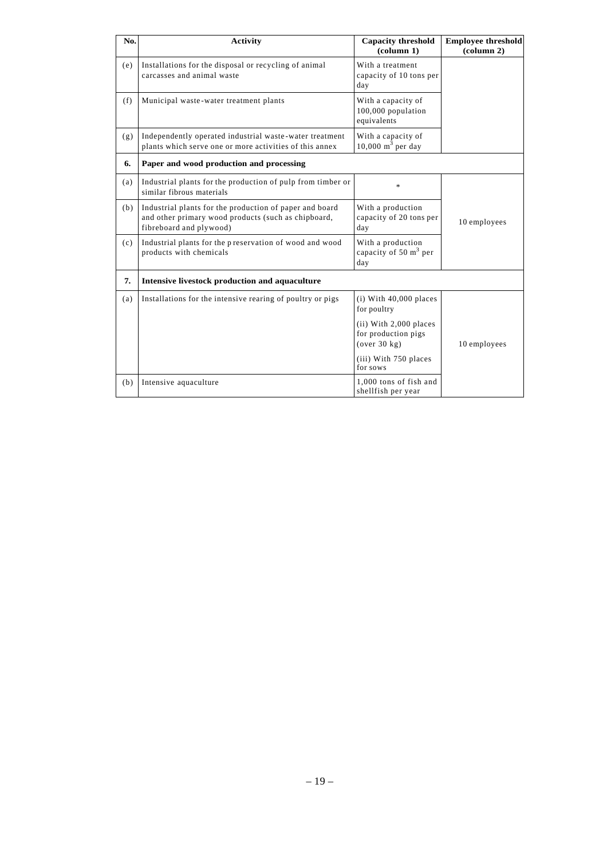| No. | <b>Activity</b>                                                                                                                           | <b>Capacity threshold</b><br>$\text{(column 1)}$              | <b>Employee threshold</b><br>$\text{(column 2)}$ |  |  |  |
|-----|-------------------------------------------------------------------------------------------------------------------------------------------|---------------------------------------------------------------|--------------------------------------------------|--|--|--|
| (e) | Installations for the disposal or recycling of animal<br>carcasses and animal waste                                                       | With a treatment<br>capacity of 10 tons per<br>day            |                                                  |  |  |  |
| (f) | Municipal waste-water treatment plants                                                                                                    | With a capacity of<br>100,000 population<br>equivalents       |                                                  |  |  |  |
| (g) | Independently operated industrial waste-water treatment<br>plants which serve one or more activities of this annex                        | With a capacity of<br>10,000 $m^3$ per day                    |                                                  |  |  |  |
| 6.  | Paper and wood production and processing                                                                                                  |                                                               |                                                  |  |  |  |
| (a) | Industrial plants for the production of pulp from timber or<br>similar fibrous materials                                                  | $\ast$                                                        |                                                  |  |  |  |
| (b) | Industrial plants for the production of paper and board<br>and other primary wood products (such as chipboard,<br>fibreboard and plywood) | With a production<br>capacity of 20 tons per<br>day           | 10 employees                                     |  |  |  |
| (c) | Industrial plants for the preservation of wood and wood<br>products with chemicals                                                        | With a production<br>capacity of 50 $m3$ per<br>day           |                                                  |  |  |  |
| 7.  | Intensive livestock production and aquaculture                                                                                            |                                                               |                                                  |  |  |  |
| (a) | Installations for the intensive rearing of poultry or pigs                                                                                | $(i)$ With 40,000 places<br>for poultry                       |                                                  |  |  |  |
|     |                                                                                                                                           | (ii) With 2,000 places<br>for production pigs<br>(over 30 kg) | 10 employees                                     |  |  |  |
|     |                                                                                                                                           | (iii) With 750 places<br>for sows                             |                                                  |  |  |  |
| (b) | Intensive aquaculture                                                                                                                     | 1,000 tons of fish and<br>shellfish per year                  |                                                  |  |  |  |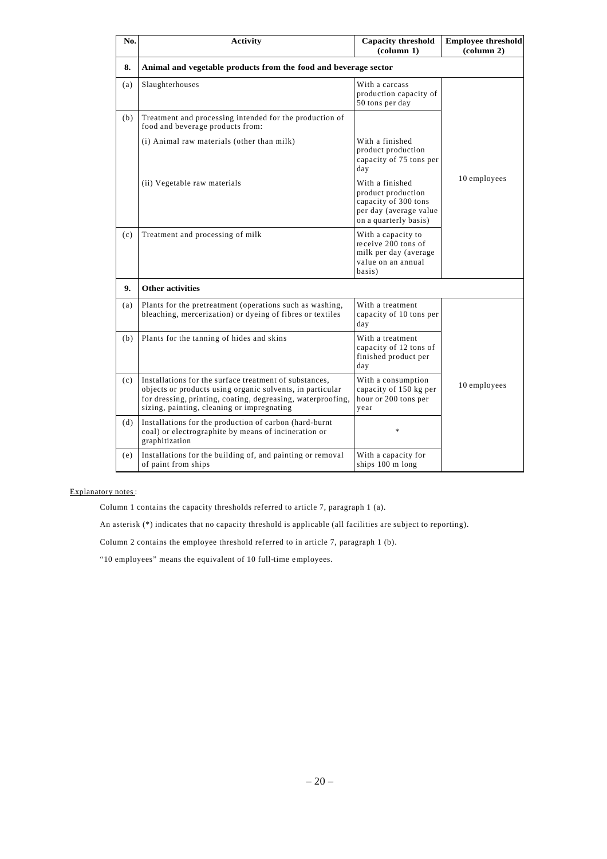| No. | <b>Capacity threshold</b><br><b>Activity</b><br>$\text{(column 1)}$                                                                                                                                                              |                                                                                                                  | <b>Employee threshold</b><br>$\text{(column 2)}$ |  |  |  |
|-----|----------------------------------------------------------------------------------------------------------------------------------------------------------------------------------------------------------------------------------|------------------------------------------------------------------------------------------------------------------|--------------------------------------------------|--|--|--|
| 8.  | Animal and vegetable products from the food and beverage sector                                                                                                                                                                  |                                                                                                                  |                                                  |  |  |  |
| (a) | Slaughterhouses                                                                                                                                                                                                                  | With a carcass<br>production capacity of<br>50 tons per day                                                      |                                                  |  |  |  |
| (b) | Treatment and processing intended for the production of<br>food and beverage products from:                                                                                                                                      |                                                                                                                  |                                                  |  |  |  |
|     | (i) Animal raw materials (other than milk)                                                                                                                                                                                       | With a finished<br>product production<br>capacity of 75 tons per<br>day                                          | 10 employees                                     |  |  |  |
|     | (ii) Vegetable raw materials                                                                                                                                                                                                     | With a finished<br>product production<br>capacity of 300 tons<br>per day (average value<br>on a quarterly basis) |                                                  |  |  |  |
| (c) | Treatment and processing of milk                                                                                                                                                                                                 | With a capacity to<br>receive 200 tons of<br>milk per day (average<br>value on an annual<br>basis)               |                                                  |  |  |  |
| 9.  | <b>Other activities</b>                                                                                                                                                                                                          |                                                                                                                  |                                                  |  |  |  |
| (a) | Plants for the pretreatment (operations such as washing,<br>bleaching, mercerization) or dyeing of fibres or textiles                                                                                                            | With a treatment<br>capacity of 10 tons per<br>day                                                               |                                                  |  |  |  |
| (b) | Plants for the tanning of hides and skins                                                                                                                                                                                        | With a treatment<br>capacity of 12 tons of<br>finished product per<br>day                                        |                                                  |  |  |  |
| (c) | Installations for the surface treatment of substances,<br>objects or products using organic solvents, in particular<br>for dressing, printing, coating, degreasing, waterproofing,<br>sizing, painting, cleaning or impregnating | With a consumption<br>capacity of 150 kg per<br>hour or 200 tons per<br>year                                     | 10 employees                                     |  |  |  |
| (d) | Installations for the production of carbon (hard-burnt<br>coal) or electrographite by means of incineration or<br>graphitization                                                                                                 | $\ast$                                                                                                           |                                                  |  |  |  |
| (e) | Installations for the building of, and painting or removal<br>of paint from ships                                                                                                                                                | With a capacity for<br>ships 100 m long                                                                          |                                                  |  |  |  |

#### Explanatory notes :

Column 1 contains the capacity thresholds referred to article 7, paragraph 1 (a).

An asterisk (\*) indicates that no capacity threshold is applicable (all facilities are subject to reporting).

Column 2 contains the employee threshold referred to in article 7, paragraph 1 (b).

"10 employees" means the equivalent of 10 full-time employees.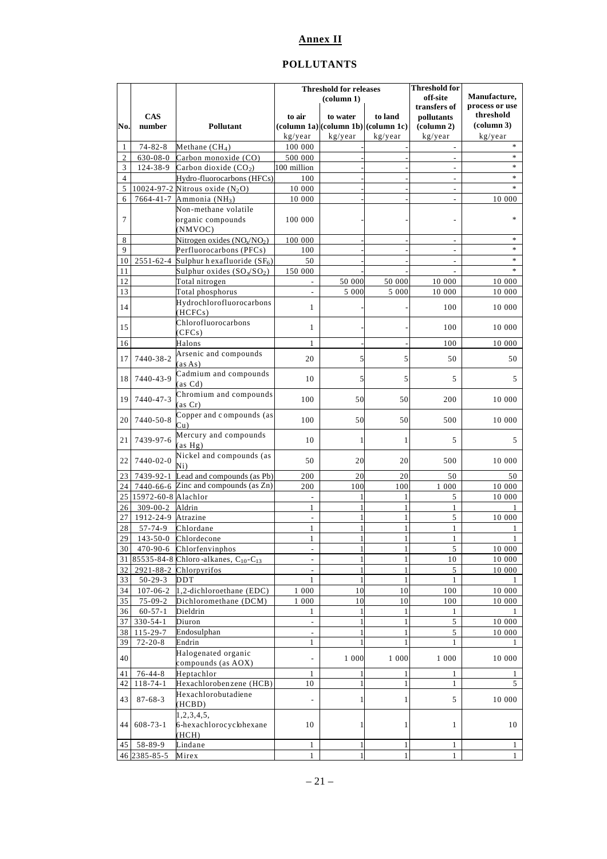# **Annex II**

# **POLLUTANTS**

|                          |                     |                                                | <b>Threshold for releases</b> |                                                                | <b>Threshold for</b> |                          |                                   |
|--------------------------|---------------------|------------------------------------------------|-------------------------------|----------------------------------------------------------------|----------------------|--------------------------|-----------------------------------|
|                          |                     |                                                | $\text{(column 1)}$           |                                                                |                      | off-site                 | Manufacture,                      |
|                          |                     |                                                |                               |                                                                | transfers of         | process or use           |                                   |
|                          | <b>CAS</b>          |                                                | to air                        | to water                                                       | to land              | pollutants               | threshold                         |
| No.                      | number              | Pollutant                                      |                               | $\alpha$ (column 1a) $\alpha$ (column 1b) $\alpha$ (column 1c) |                      | $\text{(column 2)}$      | $\left( \text{column } 3 \right)$ |
|                          |                     |                                                | kg/year                       | kg/year                                                        | kg/year              | kg/year                  | kg/year                           |
| $\mathbf{1}$             | $74 - 82 - 8$       | Methane $(CH_4)$                               | 100 000                       |                                                                |                      |                          | $\ast$                            |
| $\overline{2}$           | 630-08-0            | Carbon monoxide (CO)                           | 500 000                       |                                                                |                      | $\overline{\phantom{0}}$ | $\ast$                            |
| 3                        | 124-38-9            | Carbon dioxide $(CO2)$                         | 100 million                   |                                                                |                      | ۰                        | $\ast$                            |
| $\overline{\mathcal{L}}$ |                     | Hydro-fluorocarbons (HFCs)                     | 100                           |                                                                |                      |                          | $\ast$                            |
| 5                        | 10024-97-2          | Nitrous oxide $(N_2O)$                         | 10 000                        |                                                                |                      |                          | $\ast$                            |
| 6                        | 7664-41-7           | Ammonia (NH <sub>3</sub> )                     | 10 000                        |                                                                |                      |                          | 10 000                            |
|                          |                     | Non-methane volatile                           |                               |                                                                |                      |                          |                                   |
| 7                        |                     | organic compounds                              | 100 000                       |                                                                |                      |                          | ∗                                 |
|                          |                     | (NMVOC)                                        |                               |                                                                |                      |                          |                                   |
| $8\,$                    |                     | Nitrogen oxides $(NO_x/NO_2)$                  | 100 000                       |                                                                |                      |                          | $\ast$                            |
| 9                        |                     | Perfluorocarbons (PFCs)                        | 100                           |                                                                |                      |                          | $\ast$                            |
| 10                       | $2551 - 62 - 4$     | Sulphur h exafluoride $(SF_6)$                 | 50                            |                                                                |                      |                          | $\ast$                            |
| 11                       |                     | Sulphur oxides $(SO_x/SO_2)$                   | 150 000                       |                                                                |                      |                          | $\ast$                            |
| 12                       |                     | Total nitrogen                                 |                               | 50 000                                                         | 50 000               | 10 000                   | 10 000                            |
| 13                       |                     | Total phosphorus                               |                               | 5 0 0 0                                                        | 5 000                | 10 000                   | 10 000                            |
| 14                       |                     | Hydrochlorofluorocarbons                       | 1                             |                                                                |                      | 100                      | 10 000                            |
|                          |                     | HCFCs                                          |                               |                                                                |                      |                          |                                   |
| 15                       |                     | Chlorofluorocarbons                            | 1                             |                                                                |                      | 100                      | 10 000                            |
|                          |                     | (CFCs)                                         |                               |                                                                |                      |                          |                                   |
| 16                       |                     | Halons                                         | 1                             |                                                                |                      | 100                      | 10 000                            |
| 17                       | 7440-38-2           | Arsenic and compounds                          | 20                            |                                                                | 5                    | 50                       | 50                                |
|                          |                     | (as As)                                        |                               |                                                                |                      |                          |                                   |
| 18                       | 7440-43-9           | Cadmium and compounds                          | 10                            |                                                                | 5                    | 5                        | 5                                 |
|                          |                     | (as Cd)                                        |                               |                                                                |                      |                          |                                   |
| 19                       | 7440-47-3           | Chromium and compounds                         | 100                           | 50                                                             | 50                   | 200                      | 10 000                            |
|                          |                     | (as Cr)                                        |                               |                                                                |                      |                          |                                   |
| 20                       | 7440-50-8           | Copper and compounds (as                       | 100                           | 50                                                             | 50                   | 500                      | 10 000                            |
|                          |                     | Cu)                                            |                               |                                                                |                      |                          |                                   |
| 21                       | 7439-97-6           | Mercury and compounds                          | 10                            |                                                                |                      | 5                        | 5                                 |
|                          |                     | (as Hg)                                        |                               |                                                                |                      |                          |                                   |
| 22                       | 7440-02-0           | Nickel and compounds (as                       | 50                            | 20                                                             | 20                   | 500                      | 10 000                            |
|                          |                     | Ni)                                            |                               |                                                                |                      |                          |                                   |
| 23                       | 7439-92-1           | Lead and compounds (as Pb)                     | 200                           | 20                                                             | 20                   | 50                       | 50                                |
| 24                       | 7440-66-6           | Zinc and compounds (as Zn)                     | 200                           | 100                                                            | 100                  | 1 000                    | 10 000                            |
| 25                       | 15972-60-8 Alachlor |                                                |                               |                                                                |                      | 5                        | 10 000                            |
| 26                       | $309 - 00 - 2$      | Aldrin                                         | 1                             |                                                                |                      | 1                        |                                   |
| 27                       | 1912-24-9           | Atrazine                                       |                               |                                                                |                      | 5                        | 10 000                            |
| $2\sqrt{8}$              | 57-74-9             | Chlordane                                      | 1                             |                                                                |                      | $\mathbf{1}$             |                                   |
| 29                       | $143 - 50 - 0$      | Chlordecone                                    | 1                             |                                                                |                      | $\mathbf{1}$             |                                   |
| 30                       | 470-90-6            | Chlorfenvinphos                                |                               |                                                                |                      | 5                        | 10 000                            |
| 31                       |                     | 85535-84-8 Chloro-alkanes, $C_{10}$ - $C_{13}$ |                               |                                                                |                      | 10                       | 10 000                            |
| 32                       | 2921-88-2           | Chlorpyrifos                                   |                               |                                                                |                      | 5                        | 10 000                            |
| 33                       | $50 - 29 - 3$       | <b>DDT</b>                                     | 1                             |                                                                |                      | 1                        |                                   |
| 34                       | $107 - 06 - 2$      | 1,2-dichloroethane (EDC)                       | 1 000                         | 10                                                             | 10                   | 100                      | 10 000                            |
| 35                       | $75-09-2$           | Dichloromethane (DCM)                          | 1000                          | 10                                                             | 10                   | 100                      | 10 000                            |
| 36                       | $60 - 57 - 1$       | Dieldrin                                       | 1                             |                                                                |                      | 1                        |                                   |
| 37                       | $330 - 54 - 1$      | Diuron                                         |                               |                                                                |                      | 5                        | 10 000                            |
| 38                       | $115 - 29 - 7$      | Endosulphan                                    |                               |                                                                |                      | 5                        | 10 000                            |
| 39                       | $72 - 20 - 8$       | Endrin                                         | 1                             |                                                                |                      | 1                        |                                   |
| $40\,$                   |                     | Halogenated organic                            |                               | 1 000                                                          | 1 000                | 1 000                    | 10 000                            |
|                          |                     | compounds (as AOX)                             |                               |                                                                |                      |                          |                                   |
| 41                       | $76 - 44 - 8$       | Heptachlor                                     | 1                             |                                                                |                      | 1                        |                                   |
| 42                       | $118 - 74 - 1$      | Hexachlorobenzene (HCB)                        | 10                            |                                                                |                      | 1                        | $5\overline{)}$                   |
| 43                       | $87 - 68 - 3$       | Hexachlorobutadiene                            |                               |                                                                |                      | 5                        | 10 000                            |
|                          |                     | (HCBD)                                         |                               |                                                                |                      |                          |                                   |
|                          |                     | 1, 2, 3, 4, 5,                                 |                               |                                                                |                      |                          |                                   |
| 44                       | $608 - 73 - 1$      | 6-hexachlorocyclohexane                        | 10                            |                                                                |                      | 1                        | 10                                |
|                          |                     | (HCH)                                          |                               |                                                                |                      |                          |                                   |
| 45                       | 58-89-9             | Lindane                                        |                               |                                                                |                      |                          |                                   |
|                          | 46 2385-85-5        | Mirex                                          |                               |                                                                |                      |                          |                                   |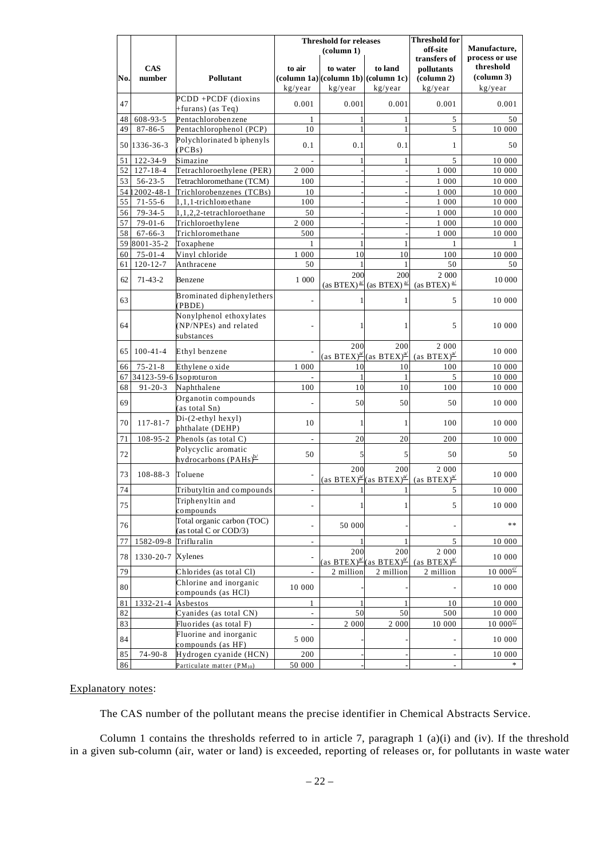|          |                            |                                         | <b>Threshold for releases</b> |                                                                            | <b>Threshold for</b>                                                              |                                   |                             |
|----------|----------------------------|-----------------------------------------|-------------------------------|----------------------------------------------------------------------------|-----------------------------------------------------------------------------------|-----------------------------------|-----------------------------|
|          |                            |                                         | $\text{(column 1)}$           |                                                                            | off-site                                                                          | Manufacture,                      |                             |
|          | <b>CAS</b>                 |                                         | to air                        |                                                                            |                                                                                   | transfers of                      | process or use<br>threshold |
| No.      | number                     | <b>Pollutant</b>                        |                               | to water<br>$\alpha$ (column 1a) $\alpha$ (column 1b) $\alpha$ (column 1c) | to land                                                                           | pollutants<br>$\text{(column 2)}$ | $\text{(column 3)}$         |
|          |                            |                                         | kg/year                       | kg/year                                                                    | kg/year                                                                           | kg/year                           | kg/year                     |
|          |                            | PCDD +PCDF (dioxins                     |                               |                                                                            |                                                                                   |                                   |                             |
| 47       |                            | +furans) (as Teq)                       | 0.001                         | 0.001                                                                      | 0.001                                                                             | 0.001                             | 0.001                       |
| 48       | $608 - 93 - 5$             | Pentachlorobenzene                      |                               |                                                                            |                                                                                   | 5                                 | 50                          |
| 49       | $87 - 86 - 5$              | Pentachlorophenol (PCP)                 | 10                            |                                                                            | 1                                                                                 | 5                                 | 10 000                      |
|          | 50 1336-36-3               | Polychlorinated b iphenyls              | 0.1                           | 0.1                                                                        | 0.1                                                                               | 1                                 | 50                          |
|          |                            | (PCBs)<br>Simazine                      |                               |                                                                            | 1                                                                                 |                                   |                             |
| 51<br>52 | 122-34-9<br>$127 - 18 - 4$ | Tetrachloroethylene (PER)               | 2 0 0 0                       |                                                                            |                                                                                   | 5<br>1 000                        | 10 000<br>10 000            |
| 53       | $56 - 23 - 5$              | Tetrachloromethane (TCM)                | 100                           |                                                                            |                                                                                   | 1 000                             | 10 000                      |
| 54       | $2002 - 48 - 1$            | Trichlorobenzenes (TCBs)                | 10                            |                                                                            |                                                                                   | $1\ 000$                          | 10 000                      |
| 55       | $71 - 55 - 6$              | 1,1,1-trichlomethane                    | 100                           |                                                                            |                                                                                   | $1\ 000$                          | 10 000                      |
| 56       | $79 - 34 - 5$              | 1,1,2,2-tetrachloroethane               | 50                            |                                                                            |                                                                                   | $1\ 000$                          | 10 000                      |
| 57       | $79 - 01 - 6$              | Trichloroethylene                       | 2 000                         |                                                                            |                                                                                   | 1 000                             | 10 000                      |
| 58       | $67 - 66 - 3$              | Trichloromethane                        | 500                           |                                                                            |                                                                                   | 1 000                             | 10 000                      |
| 59       | $8001 - 35 - 2$            | Toxaphene                               |                               |                                                                            |                                                                                   | 1                                 |                             |
| 60       | $75 - 01 - 4$              | Vinyl chloride                          | 1 000                         | 10                                                                         | 10                                                                                | 100                               | 10 000                      |
| 61       | $120 - 12 - 7$             | Anthracene                              | 50                            |                                                                            |                                                                                   | 50                                | 50                          |
| 62       | $71-43-2$                  | Benzene                                 | 1 000                         | 200                                                                        | 200<br>(as BTEX) $\frac{a}{c}$ (as BTEX) $\frac{a}{c}$                            | 2 000<br>(as BTEX) $\frac{a}{c}$  | 10 000                      |
|          |                            | Brominated diphenylethers               |                               |                                                                            |                                                                                   |                                   |                             |
| 63       |                            | (PBDE)                                  |                               |                                                                            |                                                                                   | 5                                 | 10 000                      |
|          |                            | Nonylphenol ethoxylates                 |                               |                                                                            |                                                                                   |                                   |                             |
| 64       |                            | (NP/NPEs) and related<br>substances     |                               |                                                                            |                                                                                   | 5                                 | 10 000                      |
|          |                            |                                         |                               | 200                                                                        | 200                                                                               | 2 0 0 0                           |                             |
| 65       | $100 - 41 - 4$             | Ethyl benzene                           |                               |                                                                            | (as BTEX) $\frac{\alpha'}{2}$ (as BTEX) $\frac{\alpha'}{2}$                       | (as $BTEX)^{\underline{a}}$ )     | 10 000                      |
| 66       | $75 - 21 - 8$              | Ethylene o xide                         | 1 000                         | 10                                                                         | 10                                                                                | 100                               | 10 000                      |
| 67       | 34123-59-6 Isoproturon     |                                         |                               |                                                                            |                                                                                   | 5                                 | 10 000                      |
| 68       | $91 - 20 - 3$              | Naphthalene                             | 100                           | 10                                                                         | 10                                                                                | 100                               | 10 000                      |
| 69       |                            | Organotin compounds                     |                               | 50                                                                         | 50                                                                                | $50\,$                            | 10 000                      |
|          |                            | as total Sn)                            |                               |                                                                            |                                                                                   |                                   |                             |
| 70       | $117 - 81 - 7$             | Di-(2-ethyl hexyl)<br>phthalate (DEHP)  | 10                            | 1                                                                          | 1                                                                                 | 100                               | 10 000                      |
| 71       | $108 - 95 - 2$             | Phenols (as total C)                    |                               | 20                                                                         | 20                                                                                | 200                               | 10 000                      |
|          |                            | Polycyclic aromatic                     |                               |                                                                            |                                                                                   |                                   |                             |
| 72       |                            | hydrocarbons (PAHs) <sup>b/</sup>       | 50                            | 5                                                                          | 5                                                                                 | 50                                | 50                          |
| 73       | $108 - 88 - 3$             | Toluene                                 |                               | 200                                                                        | 200                                                                               | 2 000                             | 10 000                      |
|          |                            |                                         |                               |                                                                            | (as BTEX) $\frac{a}{a}$ (as BTEX) $\frac{a}{a}$                                   | (as $BTEX)^{\underline{a}}$ )     |                             |
| 74       |                            | Tributyltin and compounds               | ÷,                            |                                                                            |                                                                                   | 5                                 | 10 000                      |
| 75       |                            | Triphenyltin and                        |                               |                                                                            | 1                                                                                 | 5                                 | 10 000                      |
|          |                            | compounds<br>Total organic carbon (TOC) |                               |                                                                            |                                                                                   |                                   |                             |
| 76       |                            | (as total C or COD/3)                   | $\overline{\phantom{0}}$      | 50 000                                                                     |                                                                                   |                                   | $***$                       |
| 77       | 1582-09-8                  | Trifluralin                             |                               |                                                                            |                                                                                   | 5                                 | 10 000                      |
|          |                            |                                         |                               | 200                                                                        | 200                                                                               | 2 000                             |                             |
| 78       | 1330-20-7 Xylenes          |                                         |                               |                                                                            | (as BTEX) <sup><math>\frac{\alpha'}{2}</math></sup> (as BTEX) $\frac{\alpha'}{2}$ | $(as BTEX)^{a}$                   | 10 000                      |
| 79       |                            | Chlorides (as total Cl)                 |                               | 2 million                                                                  | 2 million                                                                         | 2 million                         | $10000^{\circ}$             |
| 80       |                            | Chlorine and inorganic                  | 10 000                        |                                                                            |                                                                                   |                                   | 10 000                      |
|          |                            | compounds (as HCl)                      |                               |                                                                            |                                                                                   |                                   |                             |
| 81<br>82 | 1332-21-4                  | Asbestos<br>Cyanides (as total CN)      |                               | 50                                                                         | 50                                                                                | 10<br>500                         | 10 000<br>10 000            |
| 83       |                            | Fluorides (as total F)                  |                               | 2 000                                                                      | 2 000                                                                             | 10 000                            | $10000^{\frac{c}{2}}$       |
|          |                            | Fluorine and inorganic                  |                               |                                                                            |                                                                                   |                                   |                             |
| 84       |                            | compounds (as HF)                       | 5 000                         |                                                                            |                                                                                   | $\overline{\phantom{a}}$          | 10 000                      |
| 85       | $74 - 90 - 8$              | Hydrogen cyanide (HCN)                  | 200                           |                                                                            |                                                                                   | $\sim$                            | 10 000                      |
| 86       |                            | Particulate matter (PM <sub>10</sub> )  | 50 000                        |                                                                            |                                                                                   |                                   | $\ast$                      |

## Explanatory notes:

The CAS number of the pollutant means the precise identifier in Chemical Abstracts Service.

Column 1 contains the thresholds referred to in article 7, paragraph 1 (a)(i) and (iv). If the threshold in a given sub-column (air, water or land) is exceeded, reporting of releases or, for pollutants in waste water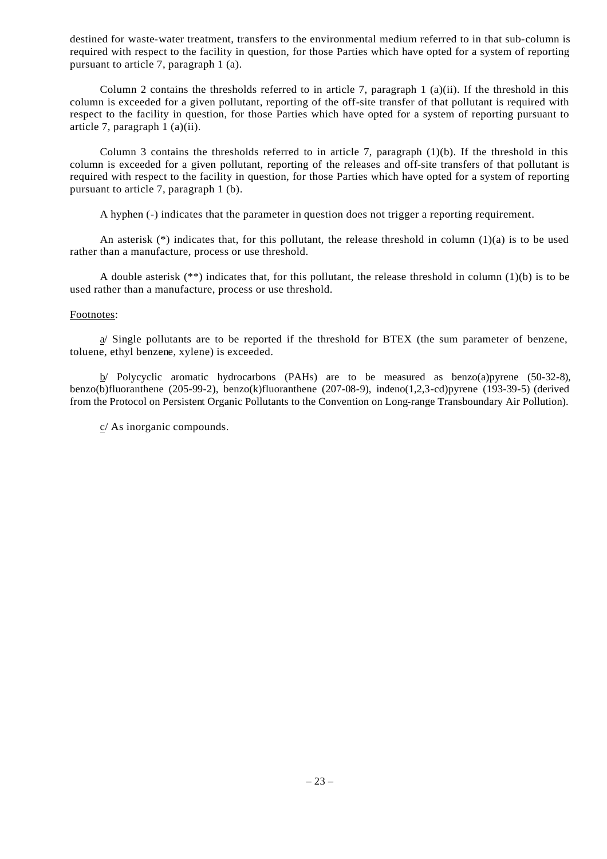destined for waste-water treatment, transfers to the environmental medium referred to in that sub-column is required with respect to the facility in question, for those Parties which have opted for a system of reporting pursuant to article 7, paragraph 1 (a).

Column 2 contains the thresholds referred to in article 7, paragraph 1 (a)(ii). If the threshold in this column is exceeded for a given pollutant, reporting of the off-site transfer of that pollutant is required with respect to the facility in question, for those Parties which have opted for a system of reporting pursuant to article 7, paragraph 1 (a)(ii).

Column 3 contains the thresholds referred to in article 7, paragraph (1)(b). If the threshold in this column is exceeded for a given pollutant, reporting of the releases and off-site transfers of that pollutant is required with respect to the facility in question, for those Parties which have opted for a system of reporting pursuant to article 7, paragraph 1 (b).

A hyphen (-) indicates that the parameter in question does not trigger a reporting requirement.

An asterisk (\*) indicates that, for this pollutant, the release threshold in column (1)(a) is to be used rather than a manufacture, process or use threshold.

A double asterisk (\*\*) indicates that, for this pollutant, the release threshold in column (1)(b) is to be used rather than a manufacture, process or use threshold.

## Footnotes:

 $\alpha$  Single pollutants are to be reported if the threshold for BTEX (the sum parameter of benzene, toluene, ethyl benzene, xylene) is exceeded.

 $b$  Polycyclic aromatic hydrocarbons (PAHs) are to be measured as benzo(a)pyrene (50-32-8), benzo(b)fluoranthene (205-99-2), benzo(k)fluoranthene (207-08-9), indeno(1,2,3-cd)pyrene (193-39-5) (derived from the Protocol on Persistent Organic Pollutants to the Convention on Long-range Transboundary Air Pollution).

 $c/$  As inorganic compounds.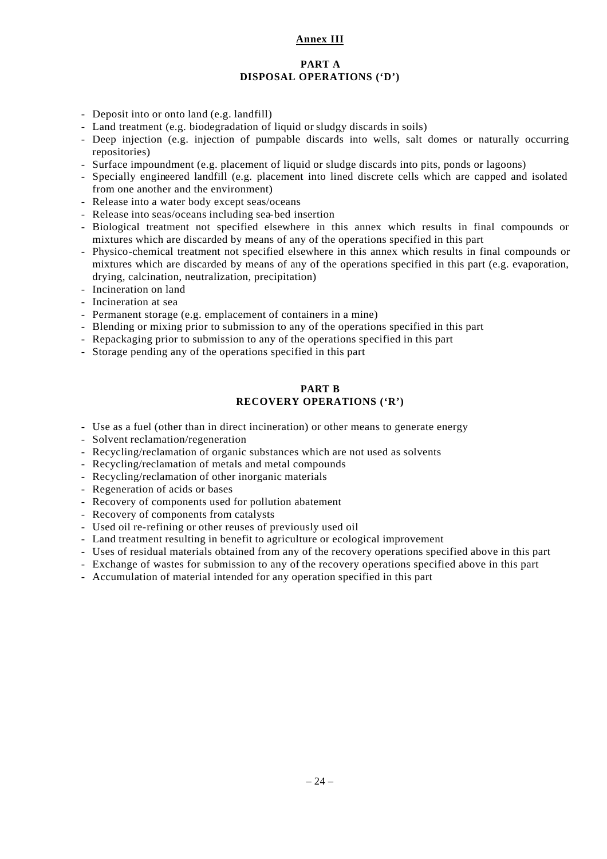## **Annex III**

# **PART A DISPOSAL OPERATIONS ('D')**

- Deposit into or onto land (e.g. landfill)
- Land treatment (e.g. biodegradation of liquid or sludgy discards in soils)
- Deep injection (e.g. injection of pumpable discards into wells, salt domes or naturally occurring repositories)
- Surface impoundment (e.g. placement of liquid or sludge discards into pits, ponds or lagoons)
- Specially engineered landfill (e.g. placement into lined discrete cells which are capped and isolated from one another and the environment)
- Release into a water body except seas/oceans
- Release into seas/oceans including sea-bed insertion
- Biological treatment not specified elsewhere in this annex which results in final compounds or mixtures which are discarded by means of any of the operations specified in this part
- Physico-chemical treatment not specified elsewhere in this annex which results in final compounds or mixtures which are discarded by means of any of the operations specified in this part (e.g. evaporation, drying, calcination, neutralization, precipitation)
- Incineration on land
- Incineration at sea
- Permanent storage (e.g. emplacement of containers in a mine)
- Blending or mixing prior to submission to any of the operations specified in this part
- Repackaging prior to submission to any of the operations specified in this part
- Storage pending any of the operations specified in this part

## **PART B RECOVERY OPERATIONS ('R')**

- Use as a fuel (other than in direct incineration) or other means to generate energy
- Solvent reclamation/regeneration
- Recycling/reclamation of organic substances which are not used as solvents
- Recycling/reclamation of metals and metal compounds
- Recycling/reclamation of other inorganic materials
- Regeneration of acids or bases
- Recovery of components used for pollution abatement
- Recovery of components from catalysts
- Used oil re-refining or other reuses of previously used oil
- Land treatment resulting in benefit to agriculture or ecological improvement
- Uses of residual materials obtained from any of the recovery operations specified above in this part
- Exchange of wastes for submission to any of the recovery operations specified above in this part
- Accumulation of material intended for any operation specified in this part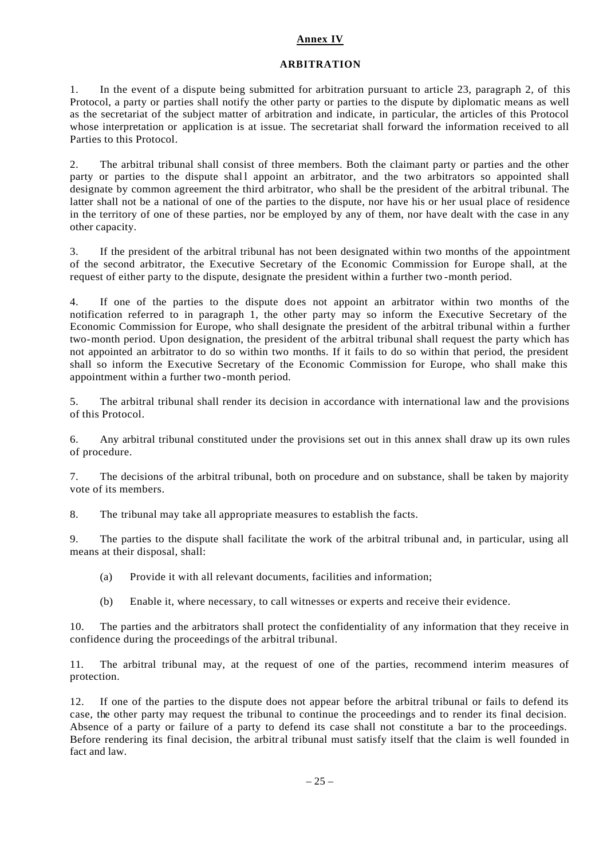## **Annex IV**

## **ARBITRATION**

1. In the event of a dispute being submitted for arbitration pursuant to article 23, paragraph 2, of this Protocol, a party or parties shall notify the other party or parties to the dispute by diplomatic means as well as the secretariat of the subject matter of arbitration and indicate, in particular, the articles of this Protocol whose interpretation or application is at issue. The secretariat shall forward the information received to all Parties to this Protocol.

2. The arbitral tribunal shall consist of three members. Both the claimant party or parties and the other party or parties to the dispute shall appoint an arbitrator, and the two arbitrators so appointed shall designate by common agreement the third arbitrator, who shall be the president of the arbitral tribunal. The latter shall not be a national of one of the parties to the dispute, nor have his or her usual place of residence in the territory of one of these parties, nor be employed by any of them, nor have dealt with the case in any other capacity.

3. If the president of the arbitral tribunal has not been designated within two months of the appointment of the second arbitrator, the Executive Secretary of the Economic Commission for Europe shall, at the request of either party to the dispute, designate the president within a further two -month period.

4. If one of the parties to the dispute does not appoint an arbitrator within two months of the notification referred to in paragraph 1, the other party may so inform the Executive Secretary of the Economic Commission for Europe, who shall designate the president of the arbitral tribunal within a further two-month period. Upon designation, the president of the arbitral tribunal shall request the party which has not appointed an arbitrator to do so within two months. If it fails to do so within that period, the president shall so inform the Executive Secretary of the Economic Commission for Europe, who shall make this appointment within a further two -month period.

5. The arbitral tribunal shall render its decision in accordance with international law and the provisions of this Protocol.

6. Any arbitral tribunal constituted under the provisions set out in this annex shall draw up its own rules of procedure.

7. The decisions of the arbitral tribunal, both on procedure and on substance, shall be taken by majority vote of its members.

8. The tribunal may take all appropriate measures to establish the facts.

9. The parties to the dispute shall facilitate the work of the arbitral tribunal and, in particular, using all means at their disposal, shall:

- (a) Provide it with all relevant documents, facilities and information;
- (b) Enable it, where necessary, to call witnesses or experts and receive their evidence.

10. The parties and the arbitrators shall protect the confidentiality of any information that they receive in confidence during the proceedings of the arbitral tribunal.

11. The arbitral tribunal may, at the request of one of the parties, recommend interim measures of protection.

12. If one of the parties to the dispute does not appear before the arbitral tribunal or fails to defend its case, the other party may request the tribunal to continue the proceedings and to render its final decision. Absence of a party or failure of a party to defend its case shall not constitute a bar to the proceedings. Before rendering its final decision, the arbitral tribunal must satisfy itself that the claim is well founded in fact and law.